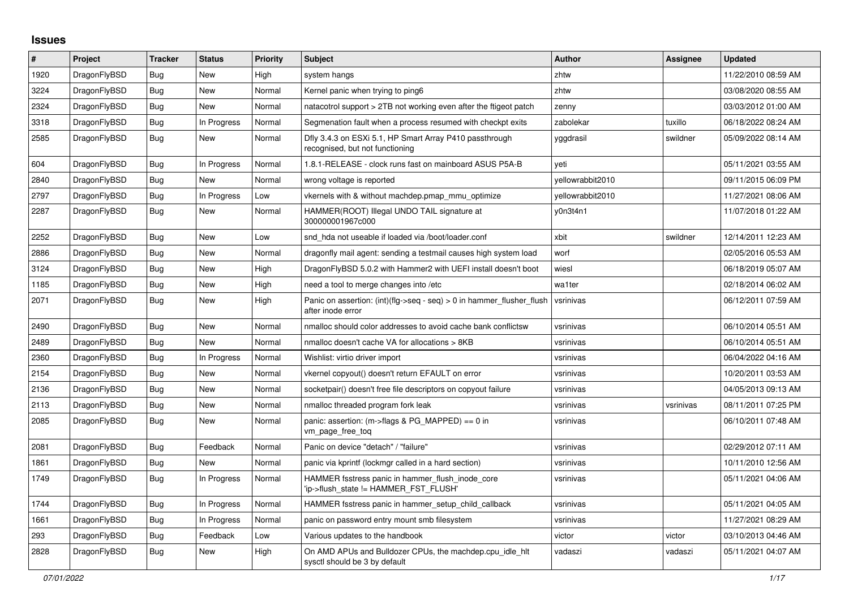## **Issues**

| $\#$ | Project      | <b>Tracker</b> | <b>Status</b> | <b>Priority</b> | <b>Subject</b>                                                                             | <b>Author</b>    | Assignee  | <b>Updated</b>      |
|------|--------------|----------------|---------------|-----------------|--------------------------------------------------------------------------------------------|------------------|-----------|---------------------|
| 1920 | DragonFlyBSD | <b>Bug</b>     | <b>New</b>    | High            | system hangs                                                                               | zhtw             |           | 11/22/2010 08:59 AM |
| 3224 | DragonFlyBSD | Bug            | New           | Normal          | Kernel panic when trying to ping6                                                          | zhtw             |           | 03/08/2020 08:55 AM |
| 2324 | DragonFlyBSD | <b>Bug</b>     | New           | Normal          | natacotrol support > 2TB not working even after the ftigeot patch                          | zenny            |           | 03/03/2012 01:00 AM |
| 3318 | DragonFlyBSD | Bug            | In Progress   | Normal          | Segmenation fault when a process resumed with checkpt exits                                | zabolekar        | tuxillo   | 06/18/2022 08:24 AM |
| 2585 | DragonFlyBSD | Bug            | <b>New</b>    | Normal          | Dfly 3.4.3 on ESXi 5.1, HP Smart Array P410 passthrough<br>recognised, but not functioning | yggdrasil        | swildner  | 05/09/2022 08:14 AM |
| 604  | DragonFlyBSD | <b>Bug</b>     | In Progress   | Normal          | 1.8.1-RELEASE - clock runs fast on mainboard ASUS P5A-B                                    | yeti             |           | 05/11/2021 03:55 AM |
| 2840 | DragonFlyBSD | Bug            | New           | Normal          | wrong voltage is reported                                                                  | yellowrabbit2010 |           | 09/11/2015 06:09 PM |
| 2797 | DragonFlyBSD | <b>Bug</b>     | In Progress   | Low             | vkernels with & without machdep.pmap mmu optimize                                          | yellowrabbit2010 |           | 11/27/2021 08:06 AM |
| 2287 | DragonFlyBSD | Bug            | New           | Normal          | HAMMER(ROOT) Illegal UNDO TAIL signature at<br>300000001967c000                            | y0n3t4n1         |           | 11/07/2018 01:22 AM |
| 2252 | DragonFlyBSD | <b>Bug</b>     | New           | Low             | snd hda not useable if loaded via /boot/loader.conf                                        | xbit             | swildner  | 12/14/2011 12:23 AM |
| 2886 | DragonFlyBSD | Bug            | <b>New</b>    | Normal          | dragonfly mail agent: sending a testmail causes high system load                           | worf             |           | 02/05/2016 05:53 AM |
| 3124 | DragonFlyBSD | <b>Bug</b>     | <b>New</b>    | High            | DragonFlyBSD 5.0.2 with Hammer2 with UEFI install doesn't boot                             | wiesl            |           | 06/18/2019 05:07 AM |
| 1185 | DragonFlyBSD | Bug            | New           | High            | need a tool to merge changes into /etc                                                     | wa1ter           |           | 02/18/2014 06:02 AM |
| 2071 | DragonFlyBSD | Bug            | New           | High            | Panic on assertion: (int)(flg->seq - seq) > 0 in hammer flusher flush<br>after inode error | vsrinivas        |           | 06/12/2011 07:59 AM |
| 2490 | DragonFlyBSD | Bug            | <b>New</b>    | Normal          | nmalloc should color addresses to avoid cache bank conflictsw                              | vsrinivas        |           | 06/10/2014 05:51 AM |
| 2489 | DragonFlyBSD | Bug            | <b>New</b>    | Normal          | nmalloc doesn't cache VA for allocations > 8KB                                             | vsrinivas        |           | 06/10/2014 05:51 AM |
| 2360 | DragonFlyBSD | <b>Bug</b>     | In Progress   | Normal          | Wishlist: virtio driver import                                                             | vsrinivas        |           | 06/04/2022 04:16 AM |
| 2154 | DragonFlyBSD | Bug            | New           | Normal          | vkernel copyout() doesn't return EFAULT on error                                           | vsrinivas        |           | 10/20/2011 03:53 AM |
| 2136 | DragonFlyBSD | Bug            | New           | Normal          | socketpair() doesn't free file descriptors on copyout failure                              | vsrinivas        |           | 04/05/2013 09:13 AM |
| 2113 | DragonFlyBSD | Bug            | New           | Normal          | nmalloc threaded program fork leak                                                         | vsrinivas        | vsrinivas | 08/11/2011 07:25 PM |
| 2085 | DragonFlyBSD | Bug            | New           | Normal          | panic: assertion: $(m\rightarrow$ flags & PG MAPPED) == 0 in<br>vm_page_free_toq           | vsrinivas        |           | 06/10/2011 07:48 AM |
| 2081 | DragonFlyBSD | <b>Bug</b>     | Feedback      | Normal          | Panic on device "detach" / "failure"                                                       | vsrinivas        |           | 02/29/2012 07:11 AM |
| 1861 | DragonFlyBSD | Bug            | New           | Normal          | panic via kprintf (lockmgr called in a hard section)                                       | vsrinivas        |           | 10/11/2010 12:56 AM |
| 1749 | DragonFlyBSD | <b>Bug</b>     | In Progress   | Normal          | HAMMER fsstress panic in hammer flush inode core<br>'ip->flush state != HAMMER FST FLUSH'  | vsrinivas        |           | 05/11/2021 04:06 AM |
| 1744 | DragonFlyBSD | Bug            | In Progress   | Normal          | HAMMER fsstress panic in hammer setup child callback                                       | vsrinivas        |           | 05/11/2021 04:05 AM |
| 1661 | DragonFlyBSD | Bug            | In Progress   | Normal          | panic on password entry mount smb filesystem                                               | vsrinivas        |           | 11/27/2021 08:29 AM |
| 293  | DragonFlyBSD | Bug            | Feedback      | Low             | Various updates to the handbook                                                            | victor           | victor    | 03/10/2013 04:46 AM |
| 2828 | DragonFlyBSD | <b>Bug</b>     | <b>New</b>    | High            | On AMD APUs and Bulldozer CPUs, the machdep.cpu_idle_hlt<br>sysctl should be 3 by default  | vadaszi          | vadaszi   | 05/11/2021 04:07 AM |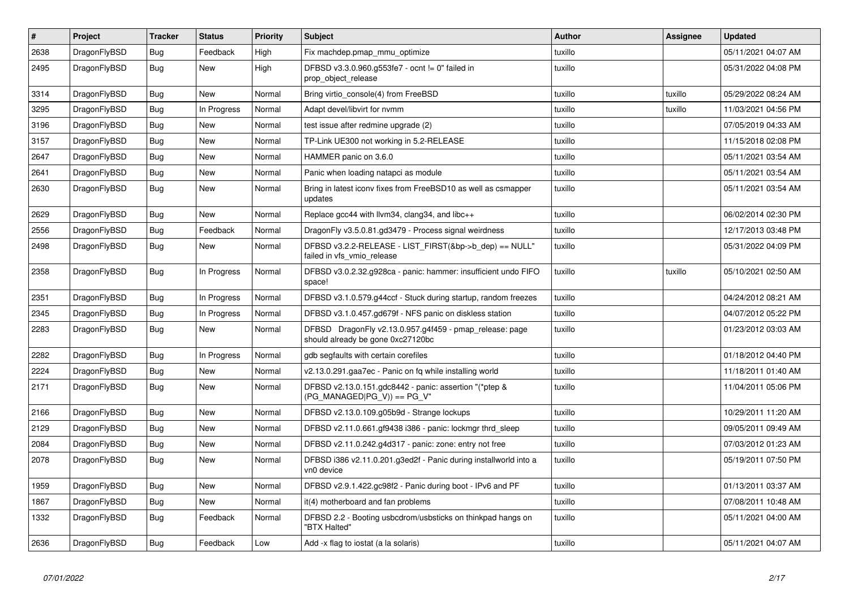| $\vert$ # | <b>Project</b> | <b>Tracker</b> | <b>Status</b> | <b>Priority</b> | <b>Subject</b>                                                                               | <b>Author</b> | Assignee | <b>Updated</b>      |
|-----------|----------------|----------------|---------------|-----------------|----------------------------------------------------------------------------------------------|---------------|----------|---------------------|
| 2638      | DragonFlyBSD   | Bug            | Feedback      | High            | Fix machdep.pmap mmu optimize                                                                | tuxillo       |          | 05/11/2021 04:07 AM |
| 2495      | DragonFlyBSD   | <b>Bug</b>     | New           | High            | DFBSD v3.3.0.960.g553fe7 - ocnt != 0" failed in<br>prop object release                       | tuxillo       |          | 05/31/2022 04:08 PM |
| 3314      | DragonFlyBSD   | Bug            | New           | Normal          | Bring virtio_console(4) from FreeBSD                                                         | tuxillo       | tuxillo  | 05/29/2022 08:24 AM |
| 3295      | DragonFlyBSD   | Bug            | In Progress   | Normal          | Adapt devel/libvirt for nvmm                                                                 | tuxillo       | tuxillo  | 11/03/2021 04:56 PM |
| 3196      | DragonFlyBSD   | <b>Bug</b>     | New           | Normal          | test issue after redmine upgrade (2)                                                         | tuxillo       |          | 07/05/2019 04:33 AM |
| 3157      | DragonFlyBSD   | Bug            | New           | Normal          | TP-Link UE300 not working in 5.2-RELEASE                                                     | tuxillo       |          | 11/15/2018 02:08 PM |
| 2647      | DragonFlyBSD   | Bug            | New           | Normal          | HAMMER panic on 3.6.0                                                                        | tuxillo       |          | 05/11/2021 03:54 AM |
| 2641      | DragonFlyBSD   | <b>Bug</b>     | <b>New</b>    | Normal          | Panic when loading natapci as module                                                         | tuxillo       |          | 05/11/2021 03:54 AM |
| 2630      | DragonFlyBSD   | <b>Bug</b>     | New           | Normal          | Bring in latest iconv fixes from FreeBSD10 as well as csmapper<br>updates                    | tuxillo       |          | 05/11/2021 03:54 AM |
| 2629      | DragonFlyBSD   | <b>Bug</b>     | New           | Normal          | Replace gcc44 with llvm34, clang34, and libc++                                               | tuxillo       |          | 06/02/2014 02:30 PM |
| 2556      | DragonFlyBSD   | <b>Bug</b>     | Feedback      | Normal          | DragonFly v3.5.0.81.gd3479 - Process signal weirdness                                        | tuxillo       |          | 12/17/2013 03:48 PM |
| 2498      | DragonFlyBSD   | Bug            | New           | Normal          | DFBSD v3.2.2-RELEASE - LIST_FIRST(&bp->b_dep) == NULL"<br>failed in vfs vmio release         | tuxillo       |          | 05/31/2022 04:09 PM |
| 2358      | DragonFlyBSD   | <b>Bug</b>     | In Progress   | Normal          | DFBSD v3.0.2.32.g928ca - panic: hammer: insufficient undo FIFO<br>space!                     | tuxillo       | tuxillo  | 05/10/2021 02:50 AM |
| 2351      | DragonFlyBSD   | <b>Bug</b>     | In Progress   | Normal          | DFBSD v3.1.0.579.g44ccf - Stuck during startup, random freezes                               | tuxillo       |          | 04/24/2012 08:21 AM |
| 2345      | DragonFlyBSD   | <b>Bug</b>     | In Progress   | Normal          | DFBSD v3.1.0.457.gd679f - NFS panic on diskless station                                      | tuxillo       |          | 04/07/2012 05:22 PM |
| 2283      | DragonFlyBSD   | <b>Bug</b>     | <b>New</b>    | Normal          | DFBSD DragonFly v2.13.0.957.g4f459 - pmap_release: page<br>should already be gone 0xc27120bc | tuxillo       |          | 01/23/2012 03:03 AM |
| 2282      | DragonFlyBSD   | <b>Bug</b>     | In Progress   | Normal          | gdb segfaults with certain corefiles                                                         | tuxillo       |          | 01/18/2012 04:40 PM |
| 2224      | DragonFlyBSD   | Bug            | <b>New</b>    | Normal          | v2.13.0.291.gaa7ec - Panic on fg while installing world                                      | tuxillo       |          | 11/18/2011 01:40 AM |
| 2171      | DragonFlyBSD   | Bug            | <b>New</b>    | Normal          | DFBSD v2.13.0.151.gdc8442 - panic: assertion "(*ptep &<br>(PG_MANAGED PG_V)) == PG_V"        | tuxillo       |          | 11/04/2011 05:06 PM |
| 2166      | DragonFlyBSD   | <b>Bug</b>     | New           | Normal          | DFBSD v2.13.0.109.g05b9d - Strange lockups                                                   | tuxillo       |          | 10/29/2011 11:20 AM |
| 2129      | DragonFlyBSD   | Bug            | New           | Normal          | DFBSD v2.11.0.661.gf9438 i386 - panic: lockmgr thrd sleep                                    | tuxillo       |          | 09/05/2011 09:49 AM |
| 2084      | DragonFlyBSD   | Bug            | New           | Normal          | DFBSD v2.11.0.242.g4d317 - panic: zone: entry not free                                       | tuxillo       |          | 07/03/2012 01:23 AM |
| 2078      | DragonFlyBSD   | <b>Bug</b>     | New           | Normal          | DFBSD i386 v2.11.0.201.g3ed2f - Panic during installworld into a<br>vn0 device               | tuxillo       |          | 05/19/2011 07:50 PM |
| 1959      | DragonFlyBSD   | Bug            | New           | Normal          | DFBSD v2.9.1.422.gc98f2 - Panic during boot - IPv6 and PF                                    | tuxillo       |          | 01/13/2011 03:37 AM |
| 1867      | DragonFlyBSD   | <b>Bug</b>     | <b>New</b>    | Normal          | it(4) motherboard and fan problems                                                           | tuxillo       |          | 07/08/2011 10:48 AM |
| 1332      | DragonFlyBSD   | <b>Bug</b>     | Feedback      | Normal          | DFBSD 2.2 - Booting usbcdrom/usbsticks on thinkpad hangs on<br>"BTX Halted"                  | tuxillo       |          | 05/11/2021 04:00 AM |
| 2636      | DragonFlyBSD   | Bug            | Feedback      | Low             | Add -x flag to iostat (a la solaris)                                                         | tuxillo       |          | 05/11/2021 04:07 AM |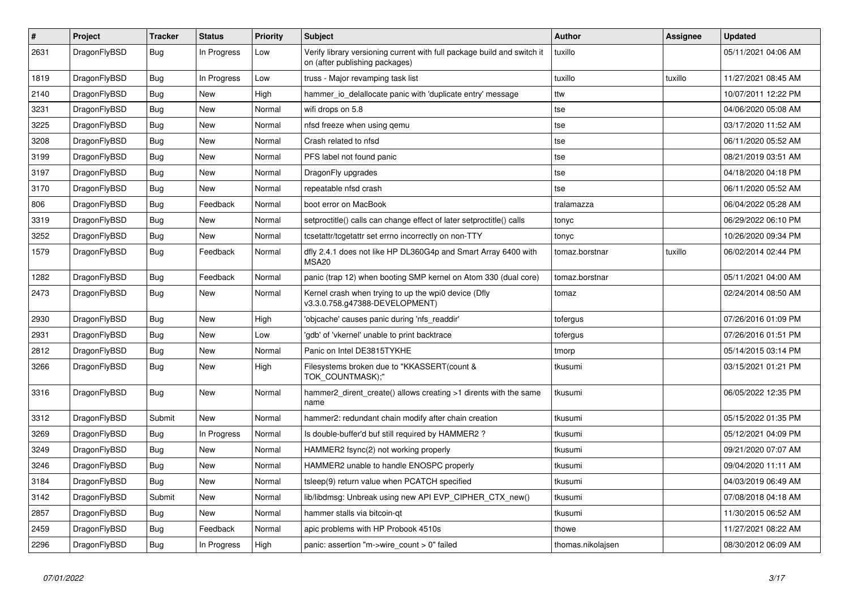| $\vert$ # | Project      | <b>Tracker</b> | <b>Status</b> | <b>Priority</b> | <b>Subject</b>                                                                                            | <b>Author</b>     | Assignee | <b>Updated</b>      |
|-----------|--------------|----------------|---------------|-----------------|-----------------------------------------------------------------------------------------------------------|-------------------|----------|---------------------|
| 2631      | DragonFlyBSD | Bug            | In Progress   | Low             | Verify library versioning current with full package build and switch it<br>on (after publishing packages) | tuxillo           |          | 05/11/2021 04:06 AM |
| 1819      | DragonFlyBSD | Bug            | In Progress   | Low             | truss - Major revamping task list                                                                         | tuxillo           | tuxillo  | 11/27/2021 08:45 AM |
| 2140      | DragonFlyBSD | <b>Bug</b>     | <b>New</b>    | High            | hammer io delallocate panic with 'duplicate entry' message                                                | ttw               |          | 10/07/2011 12:22 PM |
| 3231      | DragonFlyBSD | <b>Bug</b>     | New           | Normal          | wifi drops on 5.8                                                                                         | tse               |          | 04/06/2020 05:08 AM |
| 3225      | DragonFlyBSD | Bug            | <b>New</b>    | Normal          | nfsd freeze when using qemu                                                                               | tse               |          | 03/17/2020 11:52 AM |
| 3208      | DragonFlyBSD | Bug            | <b>New</b>    | Normal          | Crash related to nfsd                                                                                     | tse               |          | 06/11/2020 05:52 AM |
| 3199      | DragonFlyBSD | <b>Bug</b>     | <b>New</b>    | Normal          | PFS label not found panic                                                                                 | tse               |          | 08/21/2019 03:51 AM |
| 3197      | DragonFlyBSD | Bug            | <b>New</b>    | Normal          | DragonFly upgrades                                                                                        | tse               |          | 04/18/2020 04:18 PM |
| 3170      | DragonFlyBSD | Bug            | New           | Normal          | repeatable nfsd crash                                                                                     | tse               |          | 06/11/2020 05:52 AM |
| 806       | DragonFlyBSD | Bug            | Feedback      | Normal          | boot error on MacBook                                                                                     | tralamazza        |          | 06/04/2022 05:28 AM |
| 3319      | DragonFlyBSD | Bug            | New           | Normal          | setproctitle() calls can change effect of later setproctitle() calls                                      | tonyc             |          | 06/29/2022 06:10 PM |
| 3252      | DragonFlyBSD | Bug            | <b>New</b>    | Normal          | tcsetattr/tcgetattr set errno incorrectly on non-TTY                                                      | tonyc             |          | 10/26/2020 09:34 PM |
| 1579      | DragonFlyBSD | Bug            | Feedback      | Normal          | dfly 2.4.1 does not like HP DL360G4p and Smart Array 6400 with<br><b>MSA20</b>                            | tomaz.borstnar    | tuxillo  | 06/02/2014 02:44 PM |
| 1282      | DragonFlyBSD | <b>Bug</b>     | Feedback      | Normal          | panic (trap 12) when booting SMP kernel on Atom 330 (dual core)                                           | tomaz.borstnar    |          | 05/11/2021 04:00 AM |
| 2473      | DragonFlyBSD | <b>Bug</b>     | New           | Normal          | Kernel crash when trying to up the wpi0 device (Dfly<br>v3.3.0.758.g47388-DEVELOPMENT)                    | tomaz             |          | 02/24/2014 08:50 AM |
| 2930      | DragonFlyBSD | <b>Bug</b>     | <b>New</b>    | High            | 'objcache' causes panic during 'nfs_readdir'                                                              | tofergus          |          | 07/26/2016 01:09 PM |
| 2931      | DragonFlyBSD | Bug            | <b>New</b>    | Low             | gdb' of 'vkernel' unable to print backtrace                                                               | tofergus          |          | 07/26/2016 01:51 PM |
| 2812      | DragonFlyBSD | <b>Bug</b>     | <b>New</b>    | Normal          | Panic on Intel DE3815TYKHE                                                                                | tmorp             |          | 05/14/2015 03:14 PM |
| 3266      | DragonFlyBSD | <b>Bug</b>     | <b>New</b>    | High            | Filesystems broken due to "KKASSERT(count &<br>TOK COUNTMASK);"                                           | tkusumi           |          | 03/15/2021 01:21 PM |
| 3316      | DragonFlyBSD | <b>Bug</b>     | <b>New</b>    | Normal          | hammer2 dirent create() allows creating >1 dirents with the same<br>name                                  | tkusumi           |          | 06/05/2022 12:35 PM |
| 3312      | DragonFlyBSD | Submit         | <b>New</b>    | Normal          | hammer2: redundant chain modify after chain creation                                                      | tkusumi           |          | 05/15/2022 01:35 PM |
| 3269      | DragonFlyBSD | Bug            | In Progress   | Normal          | Is double-buffer'd buf still required by HAMMER2?                                                         | tkusumi           |          | 05/12/2021 04:09 PM |
| 3249      | DragonFlyBSD | Bug            | New           | Normal          | HAMMER2 fsync(2) not working properly                                                                     | tkusumi           |          | 09/21/2020 07:07 AM |
| 3246      | DragonFlyBSD | <b>Bug</b>     | <b>New</b>    | Normal          | HAMMER2 unable to handle ENOSPC properly                                                                  | tkusumi           |          | 09/04/2020 11:11 AM |
| 3184      | DragonFlyBSD | Bug            | New           | Normal          | tsleep(9) return value when PCATCH specified                                                              | tkusumi           |          | 04/03/2019 06:49 AM |
| 3142      | DragonFlyBSD | Submit         | New           | Normal          | lib/libdmsg: Unbreak using new API EVP CIPHER CTX new()                                                   | tkusumi           |          | 07/08/2018 04:18 AM |
| 2857      | DragonFlyBSD | <b>Bug</b>     | New           | Normal          | hammer stalls via bitcoin-qt                                                                              | tkusumi           |          | 11/30/2015 06:52 AM |
| 2459      | DragonFlyBSD | <b>Bug</b>     | Feedback      | Normal          | apic problems with HP Probook 4510s                                                                       | thowe             |          | 11/27/2021 08:22 AM |
| 2296      | DragonFlyBSD | Bug            | In Progress   | High            | panic: assertion "m->wire count > 0" failed                                                               | thomas.nikolajsen |          | 08/30/2012 06:09 AM |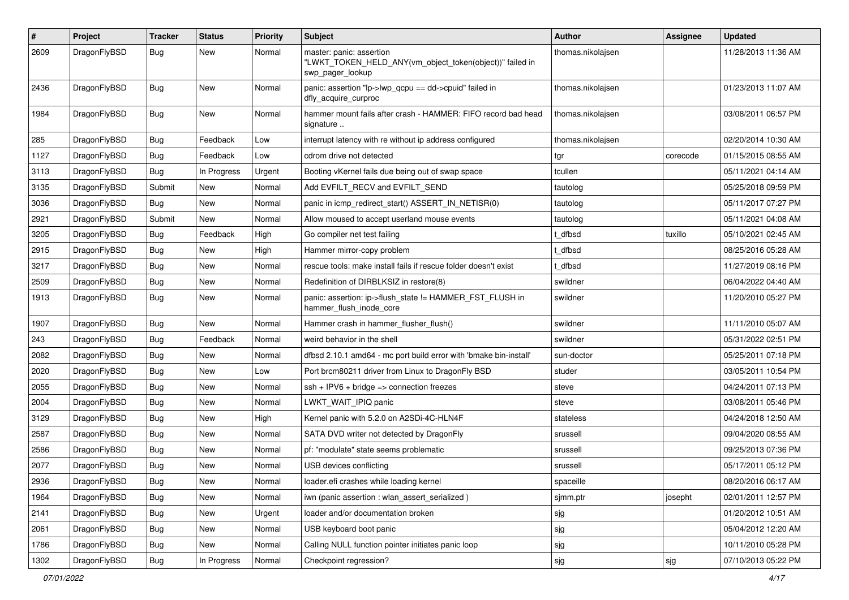| $\pmb{\#}$ | Project      | <b>Tracker</b> | <b>Status</b> | <b>Priority</b> | <b>Subject</b>                                                                                           | <b>Author</b>     | Assignee | <b>Updated</b>      |
|------------|--------------|----------------|---------------|-----------------|----------------------------------------------------------------------------------------------------------|-------------------|----------|---------------------|
| 2609       | DragonFlyBSD | Bug            | New           | Normal          | master: panic: assertion<br>"LWKT_TOKEN_HELD_ANY(vm_object_token(object))" failed in<br>swp_pager_lookup | thomas.nikolajsen |          | 11/28/2013 11:36 AM |
| 2436       | DragonFlyBSD | Bug            | New           | Normal          | panic: assertion "lp->lwp_qcpu == dd->cpuid" failed in<br>dfly_acquire_curproc                           | thomas.nikolaisen |          | 01/23/2013 11:07 AM |
| 1984       | DragonFlyBSD | Bug            | New           | Normal          | hammer mount fails after crash - HAMMER: FIFO record bad head<br>signature                               | thomas.nikolajsen |          | 03/08/2011 06:57 PM |
| 285        | DragonFlyBSD | <b>Bug</b>     | Feedback      | Low             | interrupt latency with re without ip address configured                                                  | thomas.nikolajsen |          | 02/20/2014 10:30 AM |
| 1127       | DragonFlyBSD | Bug            | Feedback      | Low             | cdrom drive not detected                                                                                 | tgr               | corecode | 01/15/2015 08:55 AM |
| 3113       | DragonFlyBSD | <b>Bug</b>     | In Progress   | Urgent          | Booting vKernel fails due being out of swap space                                                        | tcullen           |          | 05/11/2021 04:14 AM |
| 3135       | DragonFlyBSD | Submit         | New           | Normal          | Add EVFILT_RECV and EVFILT_SEND                                                                          | tautolog          |          | 05/25/2018 09:59 PM |
| 3036       | DragonFlyBSD | Bug            | New           | Normal          | panic in icmp_redirect_start() ASSERT_IN_NETISR(0)                                                       | tautolog          |          | 05/11/2017 07:27 PM |
| 2921       | DragonFlyBSD | Submit         | New           | Normal          | Allow moused to accept userland mouse events                                                             | tautolog          |          | 05/11/2021 04:08 AM |
| 3205       | DragonFlyBSD | <b>Bug</b>     | Feedback      | High            | Go compiler net test failing                                                                             | t dfbsd           | tuxillo  | 05/10/2021 02:45 AM |
| 2915       | DragonFlyBSD | Bug            | <b>New</b>    | High            | Hammer mirror-copy problem                                                                               | t dfbsd           |          | 08/25/2016 05:28 AM |
| 3217       | DragonFlyBSD | Bug            | <b>New</b>    | Normal          | rescue tools: make install fails if rescue folder doesn't exist                                          | t dfbsd           |          | 11/27/2019 08:16 PM |
| 2509       | DragonFlyBSD | Bug            | New           | Normal          | Redefinition of DIRBLKSIZ in restore(8)                                                                  | swildner          |          | 06/04/2022 04:40 AM |
| 1913       | DragonFlyBSD | Bug            | <b>New</b>    | Normal          | panic: assertion: ip->flush_state != HAMMER_FST_FLUSH in<br>hammer flush inode core                      | swildner          |          | 11/20/2010 05:27 PM |
| 1907       | DragonFlyBSD | Bug            | <b>New</b>    | Normal          | Hammer crash in hammer_flusher_flush()                                                                   | swildner          |          | 11/11/2010 05:07 AM |
| 243        | DragonFlyBSD | Bug            | Feedback      | Normal          | weird behavior in the shell                                                                              | swildner          |          | 05/31/2022 02:51 PM |
| 2082       | DragonFlyBSD | <b>Bug</b>     | New           | Normal          | dfbsd 2.10.1 amd64 - mc port build error with 'bmake bin-install'                                        | sun-doctor        |          | 05/25/2011 07:18 PM |
| 2020       | DragonFlyBSD | Bug            | New           | Low             | Port brcm80211 driver from Linux to DragonFly BSD                                                        | studer            |          | 03/05/2011 10:54 PM |
| 2055       | DragonFlyBSD | Bug            | New           | Normal          | $ssh + IPV6 + bridge \Rightarrow$ connection freezes                                                     | steve             |          | 04/24/2011 07:13 PM |
| 2004       | DragonFlyBSD | Bug            | New           | Normal          | LWKT WAIT IPIQ panic                                                                                     | steve             |          | 03/08/2011 05:46 PM |
| 3129       | DragonFlyBSD | <b>Bug</b>     | <b>New</b>    | High            | Kernel panic with 5.2.0 on A2SDi-4C-HLN4F                                                                | stateless         |          | 04/24/2018 12:50 AM |
| 2587       | DragonFlyBSD | <b>Bug</b>     | New           | Normal          | SATA DVD writer not detected by DragonFly                                                                | srussell          |          | 09/04/2020 08:55 AM |
| 2586       | DragonFlyBSD | Bug            | New           | Normal          | pf: "modulate" state seems problematic                                                                   | srussell          |          | 09/25/2013 07:36 PM |
| 2077       | DragonFlyBSD | Bug            | New           | Normal          | USB devices conflicting                                                                                  | srussell          |          | 05/17/2011 05:12 PM |
| 2936       | DragonFlyBSD | <b>Bug</b>     | New           | Normal          | loader.efi crashes while loading kernel                                                                  | spaceille         |          | 08/20/2016 06:17 AM |
| 1964       | DragonFlyBSD | Bug            | <b>New</b>    | Normal          | iwn (panic assertion : wlan assert serialized)                                                           | sjmm.ptr          | josepht  | 02/01/2011 12:57 PM |
| 2141       | DragonFlyBSD | <b>Bug</b>     | New           | Urgent          | loader and/or documentation broken                                                                       | sjg               |          | 01/20/2012 10:51 AM |
| 2061       | DragonFlyBSD | Bug            | New           | Normal          | USB keyboard boot panic                                                                                  | sjg               |          | 05/04/2012 12:20 AM |
| 1786       | DragonFlyBSD | Bug            | New           | Normal          | Calling NULL function pointer initiates panic loop                                                       | sjg               |          | 10/11/2010 05:28 PM |
| 1302       | DragonFlyBSD | Bug            | In Progress   | Normal          | Checkpoint regression?                                                                                   | sjg               | sjg      | 07/10/2013 05:22 PM |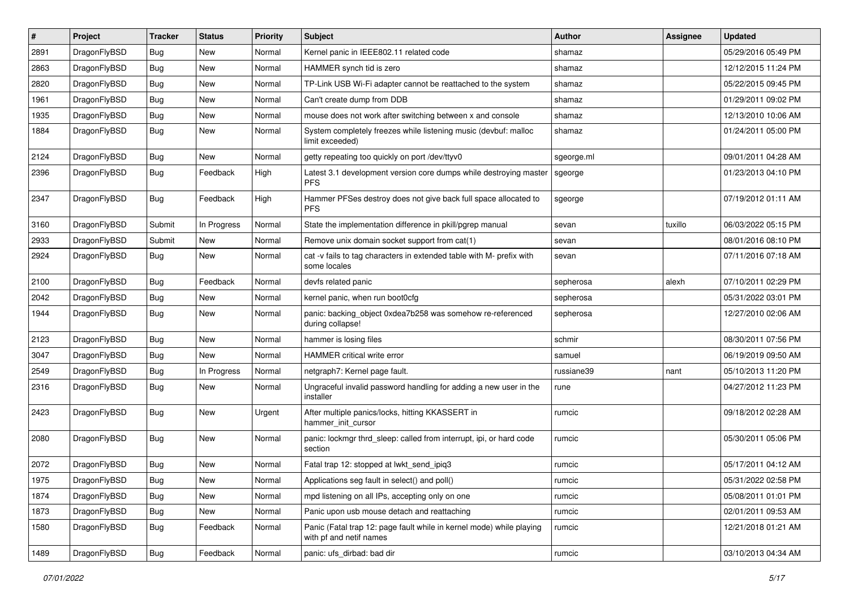| #    | Project      | <b>Tracker</b> | <b>Status</b> | <b>Priority</b> | <b>Subject</b>                                                                                  | Author     | Assignee | <b>Updated</b>      |
|------|--------------|----------------|---------------|-----------------|-------------------------------------------------------------------------------------------------|------------|----------|---------------------|
| 2891 | DragonFlyBSD | <b>Bug</b>     | <b>New</b>    | Normal          | Kernel panic in IEEE802.11 related code                                                         | shamaz     |          | 05/29/2016 05:49 PM |
| 2863 | DragonFlyBSD | <b>Bug</b>     | <b>New</b>    | Normal          | HAMMER synch tid is zero                                                                        | shamaz     |          | 12/12/2015 11:24 PM |
| 2820 | DragonFlyBSD | <b>Bug</b>     | <b>New</b>    | Normal          | TP-Link USB Wi-Fi adapter cannot be reattached to the system                                    | shamaz     |          | 05/22/2015 09:45 PM |
| 1961 | DragonFlyBSD | Bug            | <b>New</b>    | Normal          | Can't create dump from DDB                                                                      | shamaz     |          | 01/29/2011 09:02 PM |
| 1935 | DragonFlyBSD | <b>Bug</b>     | <b>New</b>    | Normal          | mouse does not work after switching between x and console                                       | shamaz     |          | 12/13/2010 10:06 AM |
| 1884 | DragonFlyBSD | Bug            | New           | Normal          | System completely freezes while listening music (devbuf: malloc<br>limit exceeded)              | shamaz     |          | 01/24/2011 05:00 PM |
| 2124 | DragonFlyBSD | <b>Bug</b>     | New           | Normal          | getty repeating too quickly on port /dev/ttyv0                                                  | sgeorge.ml |          | 09/01/2011 04:28 AM |
| 2396 | DragonFlyBSD | Bug            | Feedback      | High            | Latest 3.1 development version core dumps while destroying master<br><b>PFS</b>                 | sgeorge    |          | 01/23/2013 04:10 PM |
| 2347 | DragonFlyBSD | Bug            | Feedback      | High            | Hammer PFSes destroy does not give back full space allocated to<br><b>PFS</b>                   | sgeorge    |          | 07/19/2012 01:11 AM |
| 3160 | DragonFlyBSD | Submit         | In Progress   | Normal          | State the implementation difference in pkill/pgrep manual                                       | sevan      | tuxillo  | 06/03/2022 05:15 PM |
| 2933 | DragonFlyBSD | Submit         | New           | Normal          | Remove unix domain socket support from cat(1)                                                   | sevan      |          | 08/01/2016 08:10 PM |
| 2924 | DragonFlyBSD | Bug            | <b>New</b>    | Normal          | cat -v fails to tag characters in extended table with M- prefix with<br>some locales            | sevan      |          | 07/11/2016 07:18 AM |
| 2100 | DragonFlyBSD | <b>Bug</b>     | Feedback      | Normal          | devfs related panic                                                                             | sepherosa  | alexh    | 07/10/2011 02:29 PM |
| 2042 | DragonFlyBSD | <b>Bug</b>     | <b>New</b>    | Normal          | kernel panic, when run boot0cfg                                                                 | sepherosa  |          | 05/31/2022 03:01 PM |
| 1944 | DragonFlyBSD | <b>Bug</b>     | <b>New</b>    | Normal          | panic: backing_object 0xdea7b258 was somehow re-referenced<br>during collapse!                  | sepherosa  |          | 12/27/2010 02:06 AM |
| 2123 | DragonFlyBSD | <b>Bug</b>     | <b>New</b>    | Normal          | hammer is losing files                                                                          | schmir     |          | 08/30/2011 07:56 PM |
| 3047 | DragonFlyBSD | <b>Bug</b>     | New           | Normal          | HAMMER critical write error                                                                     | samuel     |          | 06/19/2019 09:50 AM |
| 2549 | DragonFlyBSD | Bug            | In Progress   | Normal          | netgraph7: Kernel page fault.                                                                   | russiane39 | nant     | 05/10/2013 11:20 PM |
| 2316 | DragonFlyBSD | <b>Bug</b>     | New           | Normal          | Ungraceful invalid password handling for adding a new user in the<br>installer                  | rune       |          | 04/27/2012 11:23 PM |
| 2423 | DragonFlyBSD | Bug            | New           | Urgent          | After multiple panics/locks, hitting KKASSERT in<br>hammer init cursor                          | rumcic     |          | 09/18/2012 02:28 AM |
| 2080 | DragonFlyBSD | <b>Bug</b>     | <b>New</b>    | Normal          | panic: lockmgr thrd_sleep: called from interrupt, ipi, or hard code<br>section                  | rumcic     |          | 05/30/2011 05:06 PM |
| 2072 | DragonFlyBSD | <b>Bug</b>     | <b>New</b>    | Normal          | Fatal trap 12: stopped at lwkt_send_ipiq3                                                       | rumcic     |          | 05/17/2011 04:12 AM |
| 1975 | DragonFlyBSD | Bug            | New           | Normal          | Applications seg fault in select() and poll()                                                   | rumcic     |          | 05/31/2022 02:58 PM |
| 1874 | DragonFlyBSD | <b>Bug</b>     | New           | Normal          | mpd listening on all IPs, accepting only on one                                                 | rumcic     |          | 05/08/2011 01:01 PM |
| 1873 | DragonFlyBSD | <b>Bug</b>     | New           | Normal          | Panic upon usb mouse detach and reattaching                                                     | rumcic     |          | 02/01/2011 09:53 AM |
| 1580 | DragonFlyBSD | <b>Bug</b>     | Feedback      | Normal          | Panic (Fatal trap 12: page fault while in kernel mode) while playing<br>with pf and netif names | rumcic     |          | 12/21/2018 01:21 AM |
| 1489 | DragonFlyBSD | <b>Bug</b>     | Feedback      | Normal          | panic: ufs_dirbad: bad dir                                                                      | rumcic     |          | 03/10/2013 04:34 AM |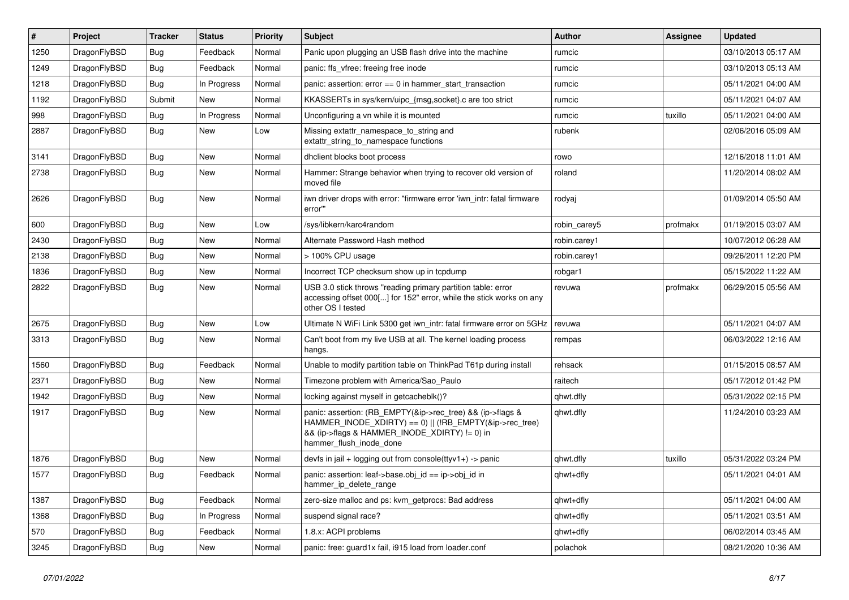| $\#$ | Project      | <b>Tracker</b> | <b>Status</b> | <b>Priority</b> | <b>Subject</b>                                                                                                                                                                                    | <b>Author</b> | <b>Assignee</b> | <b>Updated</b>      |
|------|--------------|----------------|---------------|-----------------|---------------------------------------------------------------------------------------------------------------------------------------------------------------------------------------------------|---------------|-----------------|---------------------|
| 1250 | DragonFlyBSD | Bug            | Feedback      | Normal          | Panic upon plugging an USB flash drive into the machine                                                                                                                                           | rumcic        |                 | 03/10/2013 05:17 AM |
| 1249 | DragonFlyBSD | Bug            | Feedback      | Normal          | panic: ffs vfree: freeing free inode                                                                                                                                                              | rumcic        |                 | 03/10/2013 05:13 AM |
| 1218 | DragonFlyBSD | Bug            | In Progress   | Normal          | panic: assertion: $error == 0$ in hammer_start_transaction                                                                                                                                        | rumcic        |                 | 05/11/2021 04:00 AM |
| 1192 | DragonFlyBSD | Submit         | New           | Normal          | KKASSERTs in sys/kern/uipc_{msg,socket}.c are too strict                                                                                                                                          | rumcic        |                 | 05/11/2021 04:07 AM |
| 998  | DragonFlyBSD | Bug            | In Progress   | Normal          | Unconfiguring a vn while it is mounted                                                                                                                                                            | rumcic        | tuxillo         | 05/11/2021 04:00 AM |
| 2887 | DragonFlyBSD | Bug            | New           | Low             | Missing extattr_namespace_to_string and<br>extattr string to namespace functions                                                                                                                  | rubenk        |                 | 02/06/2016 05:09 AM |
| 3141 | DragonFlyBSD | Bug            | <b>New</b>    | Normal          | dhclient blocks boot process                                                                                                                                                                      | rowo          |                 | 12/16/2018 11:01 AM |
| 2738 | DragonFlyBSD | Bug            | <b>New</b>    | Normal          | Hammer: Strange behavior when trying to recover old version of<br>moved file                                                                                                                      | roland        |                 | 11/20/2014 08:02 AM |
| 2626 | DragonFlyBSD | <b>Bug</b>     | <b>New</b>    | Normal          | iwn driver drops with error: "firmware error 'iwn intr: fatal firmware<br>error"                                                                                                                  | rodyaj        |                 | 01/09/2014 05:50 AM |
| 600  | DragonFlyBSD | <b>Bug</b>     | <b>New</b>    | Low             | /sys/libkern/karc4random                                                                                                                                                                          | robin_carey5  | profmakx        | 01/19/2015 03:07 AM |
| 2430 | DragonFlyBSD | Bug            | <b>New</b>    | Normal          | Alternate Password Hash method                                                                                                                                                                    | robin.carey1  |                 | 10/07/2012 06:28 AM |
| 2138 | DragonFlyBSD | <b>Bug</b>     | <b>New</b>    | Normal          | > 100% CPU usage                                                                                                                                                                                  | robin.carey1  |                 | 09/26/2011 12:20 PM |
| 1836 | DragonFlyBSD | <b>Bug</b>     | <b>New</b>    | Normal          | Incorrect TCP checksum show up in tcpdump                                                                                                                                                         | robgar1       |                 | 05/15/2022 11:22 AM |
| 2822 | DragonFlyBSD | <b>Bug</b>     | <b>New</b>    | Normal          | USB 3.0 stick throws "reading primary partition table: error<br>accessing offset 000[] for 152" error, while the stick works on any<br>other OS I tested                                          | revuwa        | profmakx        | 06/29/2015 05:56 AM |
| 2675 | DragonFlyBSD | Bug            | <b>New</b>    | Low             | Ultimate N WiFi Link 5300 get iwn_intr: fatal firmware error on 5GHz                                                                                                                              | revuwa        |                 | 05/11/2021 04:07 AM |
| 3313 | DragonFlyBSD | Bug            | New           | Normal          | Can't boot from my live USB at all. The kernel loading process<br>hangs.                                                                                                                          | rempas        |                 | 06/03/2022 12:16 AM |
| 1560 | DragonFlyBSD | <b>Bug</b>     | Feedback      | Normal          | Unable to modify partition table on ThinkPad T61p during install                                                                                                                                  | rehsack       |                 | 01/15/2015 08:57 AM |
| 2371 | DragonFlyBSD | Bug            | <b>New</b>    | Normal          | Timezone problem with America/Sao Paulo                                                                                                                                                           | raitech       |                 | 05/17/2012 01:42 PM |
| 1942 | DragonFlyBSD | <b>Bug</b>     | <b>New</b>    | Normal          | locking against myself in getcacheblk()?                                                                                                                                                          | qhwt.dfly     |                 | 05/31/2022 02:15 PM |
| 1917 | DragonFlyBSD | Bug            | <b>New</b>    | Normal          | panic: assertion: (RB_EMPTY(&ip->rec_tree) && (ip->flags &<br>HAMMER_INODE_XDIRTY) == 0)    (!RB_EMPTY(&ip->rec_tree)<br>&& (ip->flags & HAMMER_INODE_XDIRTY) != 0) in<br>hammer flush inode done | qhwt.dfly     |                 | 11/24/2010 03:23 AM |
| 1876 | DragonFlyBSD | Bug            | <b>New</b>    | Normal          | devfs in jail + logging out from console(ttyv1+) -> panic                                                                                                                                         | qhwt.dfly     | tuxillo         | 05/31/2022 03:24 PM |
| 1577 | DragonFlyBSD | Bug            | Feedback      | Normal          | panic: assertion: leaf->base.obj id == ip->obj id in<br>hammer_ip_delete_range                                                                                                                    | qhwt+dfly     |                 | 05/11/2021 04:01 AM |
| 1387 | DragonFlyBSD | Bug            | Feedback      | Normal          | zero-size malloc and ps: kvm getprocs: Bad address                                                                                                                                                | qhwt+dfly     |                 | 05/11/2021 04:00 AM |
| 1368 | DragonFlyBSD | Bug            | In Progress   | Normal          | suspend signal race?                                                                                                                                                                              | qhwt+dfly     |                 | 05/11/2021 03:51 AM |
| 570  | DragonFlyBSD | <b>Bug</b>     | Feedback      | Normal          | 1.8.x: ACPI problems                                                                                                                                                                              | qhwt+dfly     |                 | 06/02/2014 03:45 AM |
| 3245 | DragonFlyBSD | <b>Bug</b>     | <b>New</b>    | Normal          | panic: free: guard1x fail, i915 load from loader.conf                                                                                                                                             | polachok      |                 | 08/21/2020 10:36 AM |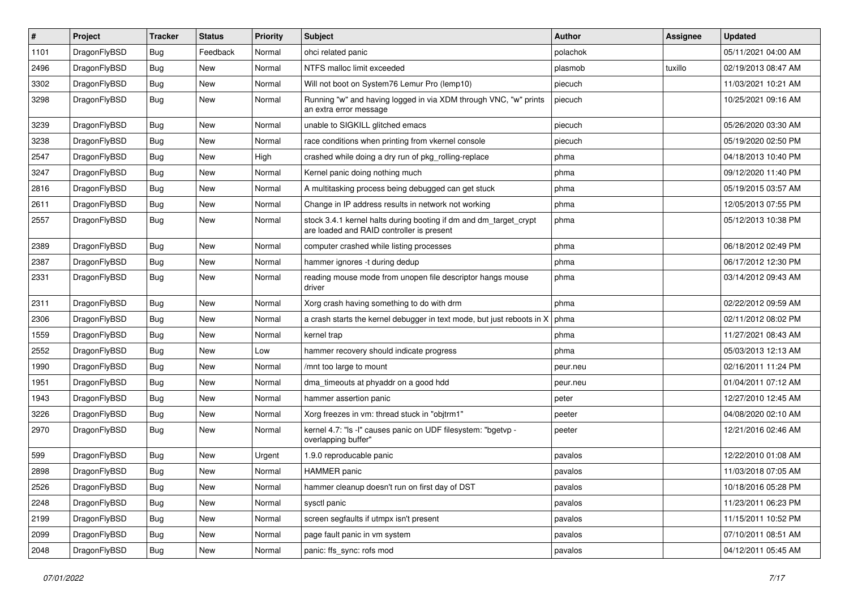| $\sharp$ | Project      | <b>Tracker</b> | <b>Status</b> | <b>Priority</b> | Subject                                                                                                        | Author   | Assignee | <b>Updated</b>      |
|----------|--------------|----------------|---------------|-----------------|----------------------------------------------------------------------------------------------------------------|----------|----------|---------------------|
| 1101     | DragonFlyBSD | <b>Bug</b>     | Feedback      | Normal          | ohci related panic                                                                                             | polachok |          | 05/11/2021 04:00 AM |
| 2496     | DragonFlyBSD | <b>Bug</b>     | New           | Normal          | NTFS malloc limit exceeded                                                                                     | plasmob  | tuxillo  | 02/19/2013 08:47 AM |
| 3302     | DragonFlyBSD | <b>Bug</b>     | New           | Normal          | Will not boot on System76 Lemur Pro (lemp10)                                                                   | piecuch  |          | 11/03/2021 10:21 AM |
| 3298     | DragonFlyBSD | <b>Bug</b>     | New           | Normal          | Running "w" and having logged in via XDM through VNC, "w" prints<br>an extra error message                     | piecuch  |          | 10/25/2021 09:16 AM |
| 3239     | DragonFlyBSD | <b>Bug</b>     | New           | Normal          | unable to SIGKILL glitched emacs                                                                               | piecuch  |          | 05/26/2020 03:30 AM |
| 3238     | DragonFlyBSD | <b>Bug</b>     | New           | Normal          | race conditions when printing from vkernel console                                                             | piecuch  |          | 05/19/2020 02:50 PM |
| 2547     | DragonFlyBSD | <b>Bug</b>     | New           | High            | crashed while doing a dry run of pkg_rolling-replace                                                           | phma     |          | 04/18/2013 10:40 PM |
| 3247     | DragonFlyBSD | <b>Bug</b>     | New           | Normal          | Kernel panic doing nothing much                                                                                | phma     |          | 09/12/2020 11:40 PM |
| 2816     | DragonFlyBSD | <b>Bug</b>     | <b>New</b>    | Normal          | A multitasking process being debugged can get stuck                                                            | phma     |          | 05/19/2015 03:57 AM |
| 2611     | DragonFlyBSD | <b>Bug</b>     | New           | Normal          | Change in IP address results in network not working                                                            | phma     |          | 12/05/2013 07:55 PM |
| 2557     | DragonFlyBSD | <b>Bug</b>     | <b>New</b>    | Normal          | stock 3.4.1 kernel halts during booting if dm and dm_target_crypt<br>are loaded and RAID controller is present | phma     |          | 05/12/2013 10:38 PM |
| 2389     | DragonFlyBSD | <b>Bug</b>     | New           | Normal          | computer crashed while listing processes                                                                       | phma     |          | 06/18/2012 02:49 PM |
| 2387     | DragonFlyBSD | <b>Bug</b>     | New           | Normal          | hammer ignores -t during dedup                                                                                 | phma     |          | 06/17/2012 12:30 PM |
| 2331     | DragonFlyBSD | <b>Bug</b>     | <b>New</b>    | Normal          | reading mouse mode from unopen file descriptor hangs mouse<br>driver                                           | phma     |          | 03/14/2012 09:43 AM |
| 2311     | DragonFlyBSD | <b>Bug</b>     | <b>New</b>    | Normal          | Xorg crash having something to do with drm                                                                     | phma     |          | 02/22/2012 09:59 AM |
| 2306     | DragonFlyBSD | <b>Bug</b>     | New           | Normal          | a crash starts the kernel debugger in text mode, but just reboots in X                                         | phma     |          | 02/11/2012 08:02 PM |
| 1559     | DragonFlyBSD | <b>Bug</b>     | New           | Normal          | kernel trap                                                                                                    | phma     |          | 11/27/2021 08:43 AM |
| 2552     | DragonFlyBSD | <b>Bug</b>     | New           | Low             | hammer recovery should indicate progress                                                                       | phma     |          | 05/03/2013 12:13 AM |
| 1990     | DragonFlyBSD | <b>Bug</b>     | New           | Normal          | /mnt too large to mount                                                                                        | peur.neu |          | 02/16/2011 11:24 PM |
| 1951     | DragonFlyBSD | <b>Bug</b>     | New           | Normal          | dma_timeouts at phyaddr on a good hdd                                                                          | peur.neu |          | 01/04/2011 07:12 AM |
| 1943     | DragonFlyBSD | <b>Bug</b>     | <b>New</b>    | Normal          | hammer assertion panic                                                                                         | peter    |          | 12/27/2010 12:45 AM |
| 3226     | DragonFlyBSD | <b>Bug</b>     | New           | Normal          | Xorg freezes in vm: thread stuck in "objtrm1"                                                                  | peeter   |          | 04/08/2020 02:10 AM |
| 2970     | DragonFlyBSD | Bug            | New           | Normal          | kernel 4.7: "Is -l" causes panic on UDF filesystem: "bgetvp -<br>overlapping buffer"                           | peeter   |          | 12/21/2016 02:46 AM |
| 599      | DragonFlyBSD | Bug            | <b>New</b>    | Urgent          | 1.9.0 reproducable panic                                                                                       | pavalos  |          | 12/22/2010 01:08 AM |
| 2898     | DragonFlyBSD | <b>Bug</b>     | New           | Normal          | <b>HAMMER</b> panic                                                                                            | pavalos  |          | 11/03/2018 07:05 AM |
| 2526     | DragonFlyBSD | <b>Bug</b>     | New           | Normal          | hammer cleanup doesn't run on first day of DST                                                                 | pavalos  |          | 10/18/2016 05:28 PM |
| 2248     | DragonFlyBSD | <b>Bug</b>     | <b>New</b>    | Normal          | sysctl panic                                                                                                   | pavalos  |          | 11/23/2011 06:23 PM |
| 2199     | DragonFlyBSD | <b>Bug</b>     | New           | Normal          | screen segfaults if utmpx isn't present                                                                        | pavalos  |          | 11/15/2011 10:52 PM |
| 2099     | DragonFlyBSD | <b>Bug</b>     | New           | Normal          | page fault panic in vm system                                                                                  | pavalos  |          | 07/10/2011 08:51 AM |
| 2048     | DragonFlyBSD | <b>Bug</b>     | New           | Normal          | panic: ffs_sync: rofs mod                                                                                      | pavalos  |          | 04/12/2011 05:45 AM |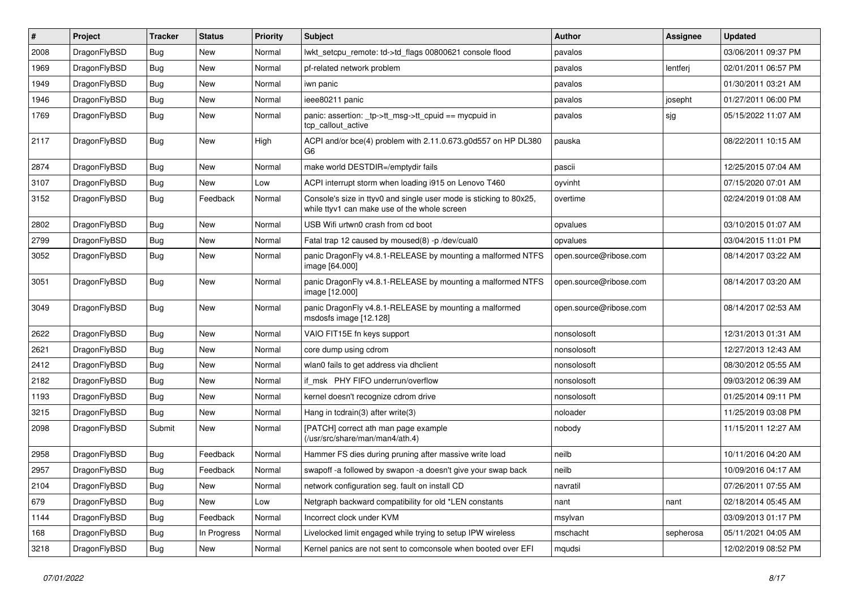| #    | Project      | <b>Tracker</b> | <b>Status</b> | <b>Priority</b> | Subject                                                                                                            | Author                 | Assignee  | <b>Updated</b>      |
|------|--------------|----------------|---------------|-----------------|--------------------------------------------------------------------------------------------------------------------|------------------------|-----------|---------------------|
| 2008 | DragonFlyBSD | <b>Bug</b>     | New           | Normal          | lwkt setcpu remote: td->td flags 00800621 console flood                                                            | pavalos                |           | 03/06/2011 09:37 PM |
| 1969 | DragonFlyBSD | <b>Bug</b>     | New           | Normal          | pf-related network problem                                                                                         | pavalos                | lentferj  | 02/01/2011 06:57 PM |
| 1949 | DragonFlyBSD | <b>Bug</b>     | New           | Normal          | iwn panic                                                                                                          | pavalos                |           | 01/30/2011 03:21 AM |
| 1946 | DragonFlyBSD | <b>Bug</b>     | New           | Normal          | ieee80211 panic                                                                                                    | pavalos                | josepht   | 01/27/2011 06:00 PM |
| 1769 | DragonFlyBSD | <b>Bug</b>     | <b>New</b>    | Normal          | panic: assertion: _tp->tt_msg->tt_cpuid == mycpuid in<br>tcp callout active                                        | pavalos                | sjg       | 05/15/2022 11:07 AM |
| 2117 | DragonFlyBSD | <b>Bug</b>     | <b>New</b>    | High            | ACPI and/or bce(4) problem with 2.11.0.673.g0d557 on HP DL380<br>G <sub>6</sub>                                    | pauska                 |           | 08/22/2011 10:15 AM |
| 2874 | DragonFlyBSD | <b>Bug</b>     | New           | Normal          | make world DESTDIR=/emptydir fails                                                                                 | pascii                 |           | 12/25/2015 07:04 AM |
| 3107 | DragonFlyBSD | Bug            | New           | Low             | ACPI interrupt storm when loading i915 on Lenovo T460                                                              | oyvinht                |           | 07/15/2020 07:01 AM |
| 3152 | DragonFlyBSD | <b>Bug</b>     | Feedback      | Normal          | Console's size in ttyv0 and single user mode is sticking to 80x25,<br>while ttyv1 can make use of the whole screen | overtime               |           | 02/24/2019 01:08 AM |
| 2802 | DragonFlyBSD | <b>Bug</b>     | New           | Normal          | USB Wifi urtwn0 crash from cd boot                                                                                 | opvalues               |           | 03/10/2015 01:07 AM |
| 2799 | DragonFlyBSD | <b>Bug</b>     | New           | Normal          | Fatal trap 12 caused by moused(8) -p/dev/cual0                                                                     | opvalues               |           | 03/04/2015 11:01 PM |
| 3052 | DragonFlyBSD | Bug            | New           | Normal          | panic DragonFly v4.8.1-RELEASE by mounting a malformed NTFS<br>image [64.000]                                      | open.source@ribose.com |           | 08/14/2017 03:22 AM |
| 3051 | DragonFlyBSD | <b>Bug</b>     | New           | Normal          | panic DragonFly v4.8.1-RELEASE by mounting a malformed NTFS<br>image [12.000]                                      | open.source@ribose.com |           | 08/14/2017 03:20 AM |
| 3049 | DragonFlyBSD | <b>Bug</b>     | <b>New</b>    | Normal          | panic DragonFly v4.8.1-RELEASE by mounting a malformed<br>msdosfs image [12.128]                                   | open.source@ribose.com |           | 08/14/2017 02:53 AM |
| 2622 | DragonFlyBSD | <b>Bug</b>     | New           | Normal          | VAIO FIT15E fn keys support                                                                                        | nonsolosoft            |           | 12/31/2013 01:31 AM |
| 2621 | DragonFlyBSD | <b>Bug</b>     | New           | Normal          | core dump using cdrom                                                                                              | nonsolosoft            |           | 12/27/2013 12:43 AM |
| 2412 | DragonFlyBSD | <b>Bug</b>     | <b>New</b>    | Normal          | wlan0 fails to get address via dhclient                                                                            | nonsolosoft            |           | 08/30/2012 05:55 AM |
| 2182 | DragonFlyBSD | <b>Bug</b>     | <b>New</b>    | Normal          | if msk PHY FIFO underrun/overflow                                                                                  | nonsolosoft            |           | 09/03/2012 06:39 AM |
| 1193 | DragonFlyBSD | <b>Bug</b>     | New           | Normal          | kernel doesn't recognize cdrom drive                                                                               | nonsolosoft            |           | 01/25/2014 09:11 PM |
| 3215 | DragonFlyBSD | <b>Bug</b>     | New           | Normal          | Hang in tcdrain(3) after write(3)                                                                                  | noloader               |           | 11/25/2019 03:08 PM |
| 2098 | DragonFlyBSD | Submit         | New           | Normal          | [PATCH] correct ath man page example<br>(/usr/src/share/man/man4/ath.4)                                            | nobody                 |           | 11/15/2011 12:27 AM |
| 2958 | DragonFlyBSD | <b>Bug</b>     | Feedback      | Normal          | Hammer FS dies during pruning after massive write load                                                             | neilb                  |           | 10/11/2016 04:20 AM |
| 2957 | DragonFlyBSD | <b>Bug</b>     | Feedback      | Normal          | swapoff -a followed by swapon -a doesn't give your swap back                                                       | neilb                  |           | 10/09/2016 04:17 AM |
| 2104 | DragonFlyBSD | <b>Bug</b>     | New           | Normal          | network configuration seg. fault on install CD                                                                     | navratil               |           | 07/26/2011 07:55 AM |
| 679  | DragonFlyBSD | <b>Bug</b>     | New           | Low             | Netgraph backward compatibility for old *LEN constants                                                             | nant                   | nant      | 02/18/2014 05:45 AM |
| 1144 | DragonFlyBSD | <b>Bug</b>     | Feedback      | Normal          | Incorrect clock under KVM                                                                                          | msylvan                |           | 03/09/2013 01:17 PM |
| 168  | DragonFlyBSD | <b>Bug</b>     | In Progress   | Normal          | Livelocked limit engaged while trying to setup IPW wireless                                                        | mschacht               | sepherosa | 05/11/2021 04:05 AM |
| 3218 | DragonFlyBSD | <b>Bug</b>     | New           | Normal          | Kernel panics are not sent to comconsole when booted over EFI                                                      | mqudsi                 |           | 12/02/2019 08:52 PM |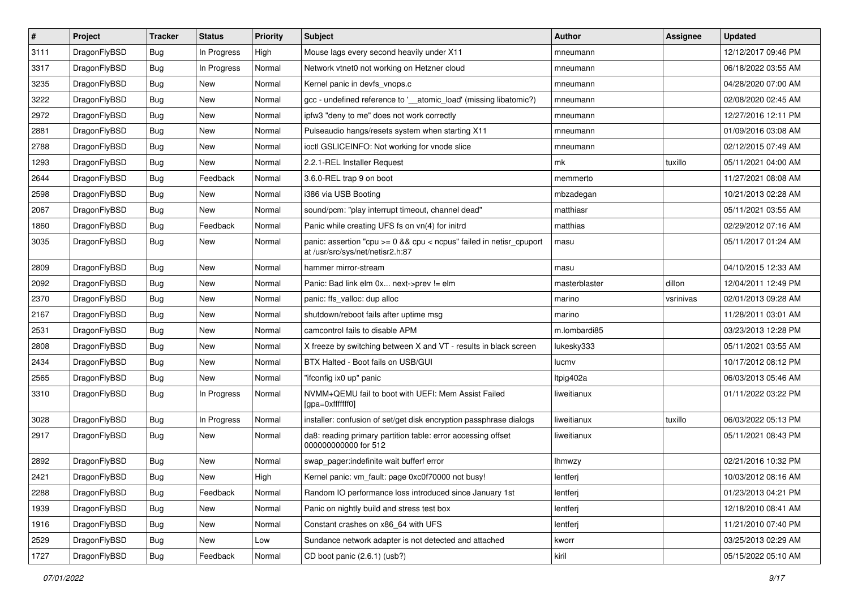| $\sharp$ | Project      | <b>Tracker</b> | <b>Status</b> | <b>Priority</b> | Subject                                                                                                 | <b>Author</b> | Assignee  | <b>Updated</b>      |
|----------|--------------|----------------|---------------|-----------------|---------------------------------------------------------------------------------------------------------|---------------|-----------|---------------------|
| 3111     | DragonFlyBSD | Bug            | In Progress   | High            | Mouse lags every second heavily under X11                                                               | mneumann      |           | 12/12/2017 09:46 PM |
| 3317     | DragonFlyBSD | Bug            | In Progress   | Normal          | Network vtnet0 not working on Hetzner cloud                                                             | mneumann      |           | 06/18/2022 03:55 AM |
| 3235     | DragonFlyBSD | <b>Bug</b>     | New           | Normal          | Kernel panic in devfs vnops.c                                                                           | mneumann      |           | 04/28/2020 07:00 AM |
| 3222     | DragonFlyBSD | <b>Bug</b>     | New           | Normal          | gcc - undefined reference to '__atomic_load' (missing libatomic?)                                       | mneumann      |           | 02/08/2020 02:45 AM |
| 2972     | DragonFlyBSD | Bug            | <b>New</b>    | Normal          | ipfw3 "deny to me" does not work correctly                                                              | mneumann      |           | 12/27/2016 12:11 PM |
| 2881     | DragonFlyBSD | <b>Bug</b>     | New           | Normal          | Pulseaudio hangs/resets system when starting X11                                                        | mneumann      |           | 01/09/2016 03:08 AM |
| 2788     | DragonFlyBSD | <b>Bug</b>     | New           | Normal          | ioctl GSLICEINFO: Not working for vnode slice                                                           | mneumann      |           | 02/12/2015 07:49 AM |
| 1293     | DragonFlyBSD | <b>Bug</b>     | New           | Normal          | 2.2.1-REL Installer Request                                                                             | mk            | tuxillo   | 05/11/2021 04:00 AM |
| 2644     | DragonFlyBSD | <b>Bug</b>     | Feedback      | Normal          | 3.6.0-REL trap 9 on boot                                                                                | memmerto      |           | 11/27/2021 08:08 AM |
| 2598     | DragonFlyBSD | Bug            | New           | Normal          | i386 via USB Booting                                                                                    | mbzadegan     |           | 10/21/2013 02:28 AM |
| 2067     | DragonFlyBSD | Bug            | New           | Normal          | sound/pcm: "play interrupt timeout, channel dead"                                                       | matthiasr     |           | 05/11/2021 03:55 AM |
| 1860     | DragonFlyBSD | Bug            | Feedback      | Normal          | Panic while creating UFS fs on vn(4) for initrd                                                         | matthias      |           | 02/29/2012 07:16 AM |
| 3035     | DragonFlyBSD | Bug            | New           | Normal          | panic: assertion "cpu >= 0 && cpu < ncpus" failed in netisr_cpuport<br>at /usr/src/sys/net/netisr2.h:87 | masu          |           | 05/11/2017 01:24 AM |
| 2809     | DragonFlyBSD | Bug            | <b>New</b>    | Normal          | hammer mirror-stream                                                                                    | masu          |           | 04/10/2015 12:33 AM |
| 2092     | DragonFlyBSD | Bug            | New           | Normal          | Panic: Bad link elm 0x next->prev != elm                                                                | masterblaster | dillon    | 12/04/2011 12:49 PM |
| 2370     | DragonFlyBSD | Bug            | New           | Normal          | panic: ffs_valloc: dup alloc                                                                            | marino        | vsrinivas | 02/01/2013 09:28 AM |
| 2167     | DragonFlyBSD | Bug            | <b>New</b>    | Normal          | shutdown/reboot fails after uptime msg                                                                  | marino        |           | 11/28/2011 03:01 AM |
| 2531     | DragonFlyBSD | Bug            | New           | Normal          | camcontrol fails to disable APM                                                                         | m.lombardi85  |           | 03/23/2013 12:28 PM |
| 2808     | DragonFlyBSD | Bug            | New           | Normal          | X freeze by switching between X and VT - results in black screen                                        | lukesky333    |           | 05/11/2021 03:55 AM |
| 2434     | DragonFlyBSD | Bug            | New           | Normal          | BTX Halted - Boot fails on USB/GUI                                                                      | lucmv         |           | 10/17/2012 08:12 PM |
| 2565     | DragonFlyBSD | Bug            | New           | Normal          | "ifconfig ix0 up" panic                                                                                 | Itpig402a     |           | 06/03/2013 05:46 AM |
| 3310     | DragonFlyBSD | Bug            | In Progress   | Normal          | NVMM+QEMU fail to boot with UEFI: Mem Assist Failed<br>[gpa=0xfffffff0]                                 | liweitianux   |           | 01/11/2022 03:22 PM |
| 3028     | DragonFlyBSD | <b>Bug</b>     | In Progress   | Normal          | installer: confusion of set/get disk encryption passphrase dialogs                                      | liweitianux   | tuxillo   | 06/03/2022 05:13 PM |
| 2917     | DragonFlyBSD | Bug            | New           | Normal          | da8: reading primary partition table: error accessing offset<br>000000000000 for 512                    | liweitianux   |           | 05/11/2021 08:43 PM |
| 2892     | DragonFlyBSD | Bug            | New           | Normal          | swap_pager:indefinite wait bufferf error                                                                | <b>Ihmwzy</b> |           | 02/21/2016 10:32 PM |
| 2421     | DragonFlyBSD | Bug            | New           | High            | Kernel panic: vm_fault: page 0xc0f70000 not busy!                                                       | lentferj      |           | 10/03/2012 08:16 AM |
| 2288     | DragonFlyBSD | Bug            | Feedback      | Normal          | Random IO performance loss introduced since January 1st                                                 | lentferj      |           | 01/23/2013 04:21 PM |
| 1939     | DragonFlyBSD | <b>Bug</b>     | <b>New</b>    | Normal          | Panic on nightly build and stress test box                                                              | lentferj      |           | 12/18/2010 08:41 AM |
| 1916     | DragonFlyBSD | <b>Bug</b>     | New           | Normal          | Constant crashes on x86_64 with UFS                                                                     | lentferj      |           | 11/21/2010 07:40 PM |
| 2529     | DragonFlyBSD | Bug            | New           | Low             | Sundance network adapter is not detected and attached                                                   | kworr         |           | 03/25/2013 02:29 AM |
| 1727     | DragonFlyBSD | <b>Bug</b>     | Feedback      | Normal          | CD boot panic (2.6.1) (usb?)                                                                            | kiril         |           | 05/15/2022 05:10 AM |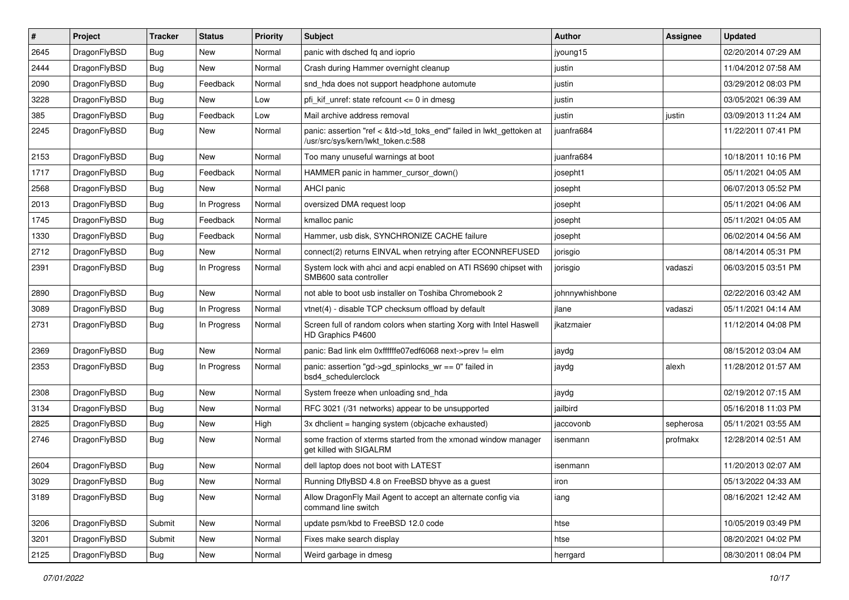| $\pmb{\#}$ | Project      | <b>Tracker</b> | <b>Status</b> | <b>Priority</b> | Subject                                                                                                    | Author          | Assignee  | <b>Updated</b>      |
|------------|--------------|----------------|---------------|-----------------|------------------------------------------------------------------------------------------------------------|-----------------|-----------|---------------------|
| 2645       | DragonFlyBSD | Bug            | <b>New</b>    | Normal          | panic with dsched fq and ioprio                                                                            | jyoung15        |           | 02/20/2014 07:29 AM |
| 2444       | DragonFlyBSD | Bug            | <b>New</b>    | Normal          | Crash during Hammer overnight cleanup                                                                      | justin          |           | 11/04/2012 07:58 AM |
| 2090       | DragonFlyBSD | <b>Bug</b>     | Feedback      | Normal          | snd hda does not support headphone automute                                                                | justin          |           | 03/29/2012 08:03 PM |
| 3228       | DragonFlyBSD | Bug            | <b>New</b>    | Low             | pfi kif unref: state refcount $\leq$ 0 in dmesg                                                            | justin          |           | 03/05/2021 06:39 AM |
| 385        | DragonFlyBSD | Bug            | Feedback      | Low             | Mail archive address removal                                                                               | justin          | justin    | 03/09/2013 11:24 AM |
| 2245       | DragonFlyBSD | Bug            | New           | Normal          | panic: assertion "ref < &td->td_toks_end" failed in lwkt_gettoken at<br>/usr/src/sys/kern/lwkt_token.c:588 | juanfra684      |           | 11/22/2011 07:41 PM |
| 2153       | DragonFlyBSD | Bug            | New           | Normal          | Too many unuseful warnings at boot                                                                         | juanfra684      |           | 10/18/2011 10:16 PM |
| 1717       | DragonFlyBSD | <b>Bug</b>     | Feedback      | Normal          | HAMMER panic in hammer cursor down()                                                                       | josepht1        |           | 05/11/2021 04:05 AM |
| 2568       | DragonFlyBSD | <b>Bug</b>     | New           | Normal          | <b>AHCI</b> panic                                                                                          | josepht         |           | 06/07/2013 05:52 PM |
| 2013       | DragonFlyBSD | Bug            | In Progress   | Normal          | oversized DMA request loop                                                                                 | josepht         |           | 05/11/2021 04:06 AM |
| 1745       | DragonFlyBSD | Bug            | Feedback      | Normal          | kmalloc panic                                                                                              | josepht         |           | 05/11/2021 04:05 AM |
| 1330       | DragonFlyBSD | <b>Bug</b>     | Feedback      | Normal          | Hammer, usb disk, SYNCHRONIZE CACHE failure                                                                | josepht         |           | 06/02/2014 04:56 AM |
| 2712       | DragonFlyBSD | Bug            | New           | Normal          | connect(2) returns EINVAL when retrying after ECONNREFUSED                                                 | jorisgio        |           | 08/14/2014 05:31 PM |
| 2391       | DragonFlyBSD | Bug            | In Progress   | Normal          | System lock with ahci and acpi enabled on ATI RS690 chipset with<br>SMB600 sata controller                 | jorisgio        | vadaszi   | 06/03/2015 03:51 PM |
| 2890       | DragonFlyBSD | Bug            | New           | Normal          | not able to boot usb installer on Toshiba Chromebook 2                                                     | johnnywhishbone |           | 02/22/2016 03:42 AM |
| 3089       | DragonFlyBSD | <b>Bug</b>     | In Progress   | Normal          | vtnet(4) - disable TCP checksum offload by default                                                         | jlane           | vadaszi   | 05/11/2021 04:14 AM |
| 2731       | DragonFlyBSD | <b>Bug</b>     | In Progress   | Normal          | Screen full of random colors when starting Xorg with Intel Haswell<br>HD Graphics P4600                    | ikatzmaier      |           | 11/12/2014 04:08 PM |
| 2369       | DragonFlyBSD | Bug            | New           | Normal          | panic: Bad link elm 0xffffffe07edf6068 next->prev != elm                                                   | jaydg           |           | 08/15/2012 03:04 AM |
| 2353       | DragonFlyBSD | Bug            | In Progress   | Normal          | panic: assertion "gd->gd_spinlocks_wr == 0" failed in<br>bsd4_schedulerclock                               | jaydg           | alexh     | 11/28/2012 01:57 AM |
| 2308       | DragonFlyBSD | Bug            | New           | Normal          | System freeze when unloading snd hda                                                                       | jaydg           |           | 02/19/2012 07:15 AM |
| 3134       | DragonFlyBSD | Bug            | <b>New</b>    | Normal          | RFC 3021 (/31 networks) appear to be unsupported                                                           | jailbird        |           | 05/16/2018 11:03 PM |
| 2825       | DragonFlyBSD | <b>Bug</b>     | <b>New</b>    | High            | 3x dhclient = hanging system (objcache exhausted)                                                          | jaccovonb       | sepherosa | 05/11/2021 03:55 AM |
| 2746       | DragonFlyBSD | <b>Bug</b>     | New           | Normal          | some fraction of xterms started from the xmonad window manager<br>get killed with SIGALRM                  | isenmann        | profmakx  | 12/28/2014 02:51 AM |
| 2604       | DragonFlyBSD | <b>Bug</b>     | New           | Normal          | dell laptop does not boot with LATEST                                                                      | isenmann        |           | 11/20/2013 02:07 AM |
| 3029       | DragonFlyBSD | Bug            | New           | Normal          | Running DflyBSD 4.8 on FreeBSD bhyve as a guest                                                            | ıron            |           | 05/13/2022 04:33 AM |
| 3189       | DragonFlyBSD | Bug            | New           | Normal          | Allow DragonFly Mail Agent to accept an alternate config via<br>command line switch                        | iang            |           | 08/16/2021 12:42 AM |
| 3206       | DragonFlyBSD | Submit         | New           | Normal          | update psm/kbd to FreeBSD 12.0 code                                                                        | htse            |           | 10/05/2019 03:49 PM |
| 3201       | DragonFlyBSD | Submit         | New           | Normal          | Fixes make search display                                                                                  | htse            |           | 08/20/2021 04:02 PM |
| 2125       | DragonFlyBSD | Bug            | New           | Normal          | Weird garbage in dmesg                                                                                     | herrgard        |           | 08/30/2011 08:04 PM |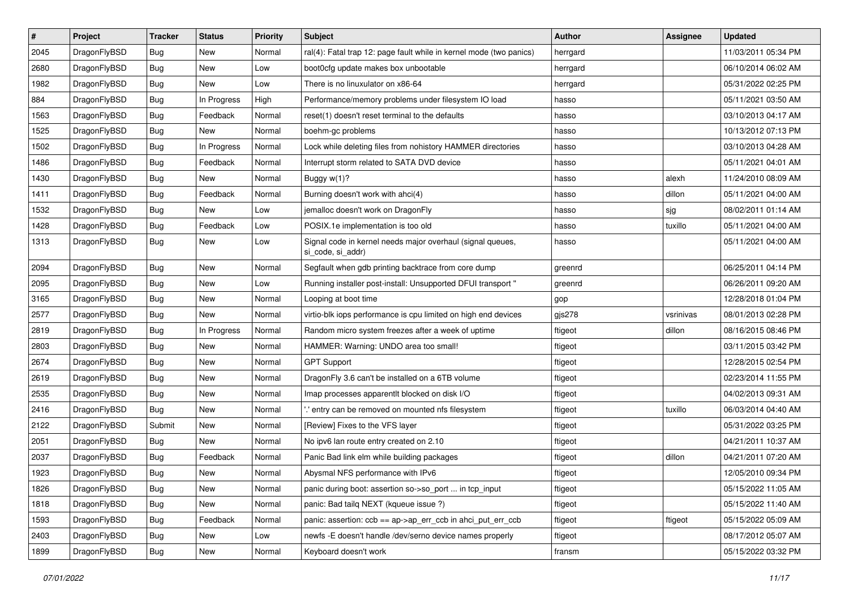| $\sharp$ | Project      | <b>Tracker</b> | <b>Status</b> | <b>Priority</b> | Subject                                                                         | Author   | Assignee  | <b>Updated</b>      |
|----------|--------------|----------------|---------------|-----------------|---------------------------------------------------------------------------------|----------|-----------|---------------------|
| 2045     | DragonFlyBSD | <b>Bug</b>     | New           | Normal          | ral(4): Fatal trap 12: page fault while in kernel mode (two panics)             | herrgard |           | 11/03/2011 05:34 PM |
| 2680     | DragonFlyBSD | Bug            | New           | Low             | boot0cfg update makes box unbootable                                            | herrgard |           | 06/10/2014 06:02 AM |
| 1982     | DragonFlyBSD | <b>Bug</b>     | New           | Low             | There is no linuxulator on x86-64                                               | herrgard |           | 05/31/2022 02:25 PM |
| 884      | DragonFlyBSD | Bug            | In Progress   | High            | Performance/memory problems under filesystem IO load                            | hasso    |           | 05/11/2021 03:50 AM |
| 1563     | DragonFlyBSD | Bug            | Feedback      | Normal          | reset(1) doesn't reset terminal to the defaults                                 | hasso    |           | 03/10/2013 04:17 AM |
| 1525     | DragonFlyBSD | <b>Bug</b>     | <b>New</b>    | Normal          | boehm-gc problems                                                               | hasso    |           | 10/13/2012 07:13 PM |
| 1502     | DragonFlyBSD | <b>Bug</b>     | In Progress   | Normal          | Lock while deleting files from nohistory HAMMER directories                     | hasso    |           | 03/10/2013 04:28 AM |
| 1486     | DragonFlyBSD | <b>Bug</b>     | Feedback      | Normal          | Interrupt storm related to SATA DVD device                                      | hasso    |           | 05/11/2021 04:01 AM |
| 1430     | DragonFlyBSD | <b>Bug</b>     | <b>New</b>    | Normal          | Buggy w(1)?                                                                     | hasso    | alexh     | 11/24/2010 08:09 AM |
| 1411     | DragonFlyBSD | Bug            | Feedback      | Normal          | Burning doesn't work with ahci(4)                                               | hasso    | dillon    | 05/11/2021 04:00 AM |
| 1532     | DragonFlyBSD | <b>Bug</b>     | New           | Low             | jemalloc doesn't work on DragonFly                                              | hasso    | sjg       | 08/02/2011 01:14 AM |
| 1428     | DragonFlyBSD | <b>Bug</b>     | Feedback      | Low             | POSIX.1e implementation is too old                                              | hasso    | tuxillo   | 05/11/2021 04:00 AM |
| 1313     | DragonFlyBSD | <b>Bug</b>     | <b>New</b>    | Low             | Signal code in kernel needs major overhaul (signal queues,<br>si_code, si_addr) | hasso    |           | 05/11/2021 04:00 AM |
| 2094     | DragonFlyBSD | Bug            | New           | Normal          | Segfault when gdb printing backtrace from core dump                             | greenrd  |           | 06/25/2011 04:14 PM |
| 2095     | DragonFlyBSD | <b>Bug</b>     | <b>New</b>    | Low             | Running installer post-install: Unsupported DFUI transport "                    | greenrd  |           | 06/26/2011 09:20 AM |
| 3165     | DragonFlyBSD | <b>Bug</b>     | <b>New</b>    | Normal          | Looping at boot time                                                            | gop      |           | 12/28/2018 01:04 PM |
| 2577     | DragonFlyBSD | <b>Bug</b>     | <b>New</b>    | Normal          | virtio-blk iops performance is cpu limited on high end devices                  | gjs278   | vsrinivas | 08/01/2013 02:28 PM |
| 2819     | DragonFlyBSD | <b>Bug</b>     | In Progress   | Normal          | Random micro system freezes after a week of uptime                              | ftigeot  | dillon    | 08/16/2015 08:46 PM |
| 2803     | DragonFlyBSD | <b>Bug</b>     | New           | Normal          | HAMMER: Warning: UNDO area too small!                                           | ftigeot  |           | 03/11/2015 03:42 PM |
| 2674     | DragonFlyBSD | <b>Bug</b>     | New           | Normal          | <b>GPT Support</b>                                                              | ftigeot  |           | 12/28/2015 02:54 PM |
| 2619     | DragonFlyBSD | <b>Bug</b>     | <b>New</b>    | Normal          | DragonFly 3.6 can't be installed on a 6TB volume                                | ftigeot  |           | 02/23/2014 11:55 PM |
| 2535     | DragonFlyBSD | Bug            | New           | Normal          | Imap processes apparentlt blocked on disk I/O                                   | ftigeot  |           | 04/02/2013 09:31 AM |
| 2416     | DragonFlyBSD | Bug            | New           | Normal          | ".' entry can be removed on mounted nfs filesystem                              | ftigeot  | tuxillo   | 06/03/2014 04:40 AM |
| 2122     | DragonFlyBSD | Submit         | New           | Normal          | [Review] Fixes to the VFS layer                                                 | ftigeot  |           | 05/31/2022 03:25 PM |
| 2051     | DragonFlyBSD | <b>Bug</b>     | New           | Normal          | No ipv6 lan route entry created on 2.10                                         | ftigeot  |           | 04/21/2011 10:37 AM |
| 2037     | DragonFlyBSD | Bug            | Feedback      | Normal          | Panic Bad link elm while building packages                                      | ftigeot  | dillon    | 04/21/2011 07:20 AM |
| 1923     | DragonFlyBSD | <b>Bug</b>     | New           | Normal          | Abysmal NFS performance with IPv6                                               | ftigeot  |           | 12/05/2010 09:34 PM |
| 1826     | DragonFlyBSD | <b>Bug</b>     | New           | Normal          | panic during boot: assertion so->so_port  in tcp_input                          | ftigeot  |           | 05/15/2022 11:05 AM |
| 1818     | DragonFlyBSD | <b>Bug</b>     | New           | Normal          | panic: Bad tailq NEXT (kqueue issue ?)                                          | ftigeot  |           | 05/15/2022 11:40 AM |
| 1593     | DragonFlyBSD | <b>Bug</b>     | Feedback      | Normal          | panic: assertion: $ccb = ap$ ->ap err $ccb$ in ahci put err $ccb$               | ftigeot  | ftigeot   | 05/15/2022 05:09 AM |
| 2403     | DragonFlyBSD | <b>Bug</b>     | New           | Low             | newfs - E doesn't handle /dev/serno device names properly                       | ftigeot  |           | 08/17/2012 05:07 AM |
| 1899     | DragonFlyBSD | <b>Bug</b>     | New           | Normal          | Keyboard doesn't work                                                           | fransm   |           | 05/15/2022 03:32 PM |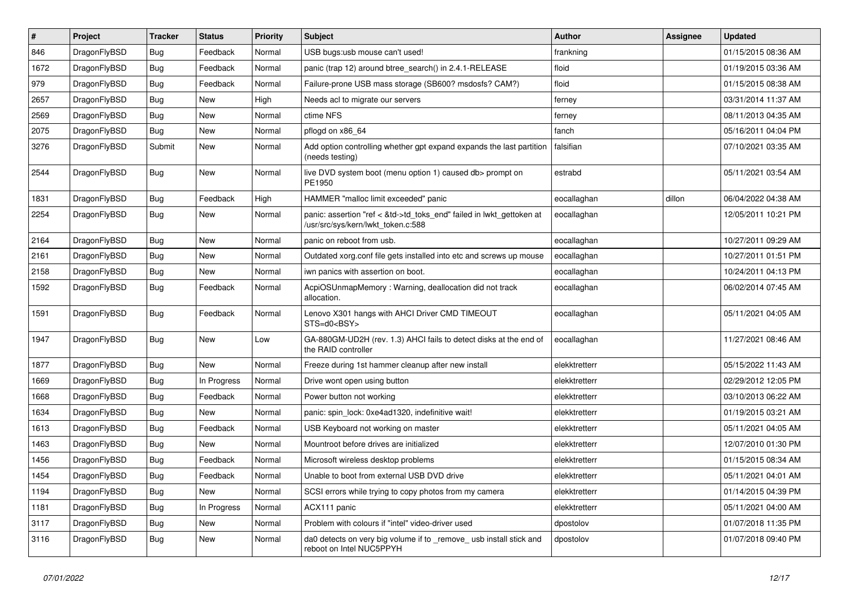| $\vert$ # | Project      | <b>Tracker</b> | <b>Status</b> | <b>Priority</b> | <b>Subject</b>                                                                                             | Author        | <b>Assignee</b> | <b>Updated</b>      |
|-----------|--------------|----------------|---------------|-----------------|------------------------------------------------------------------------------------------------------------|---------------|-----------------|---------------------|
| 846       | DragonFlyBSD | <b>Bug</b>     | Feedback      | Normal          | USB bugs:usb mouse can't used!                                                                             | frankning     |                 | 01/15/2015 08:36 AM |
| 1672      | DragonFlyBSD | <b>Bug</b>     | Feedback      | Normal          | panic (trap 12) around btree_search() in 2.4.1-RELEASE                                                     | floid         |                 | 01/19/2015 03:36 AM |
| 979       | DragonFlyBSD | <b>Bug</b>     | Feedback      | Normal          | Failure-prone USB mass storage (SB600? msdosfs? CAM?)                                                      | floid         |                 | 01/15/2015 08:38 AM |
| 2657      | DragonFlyBSD | Bug            | <b>New</b>    | High            | Needs acl to migrate our servers                                                                           | ferney        |                 | 03/31/2014 11:37 AM |
| 2569      | DragonFlyBSD | <b>Bug</b>     | <b>New</b>    | Normal          | ctime NFS                                                                                                  | ferney        |                 | 08/11/2013 04:35 AM |
| 2075      | DragonFlyBSD | <b>Bug</b>     | <b>New</b>    | Normal          | pflogd on x86 64                                                                                           | fanch         |                 | 05/16/2011 04:04 PM |
| 3276      | DragonFlyBSD | Submit         | <b>New</b>    | Normal          | Add option controlling whether gpt expand expands the last partition<br>(needs testing)                    | falsifian     |                 | 07/10/2021 03:35 AM |
| 2544      | DragonFlyBSD | Bug            | <b>New</b>    | Normal          | live DVD system boot (menu option 1) caused db> prompt on<br>PE1950                                        | estrabd       |                 | 05/11/2021 03:54 AM |
| 1831      | DragonFlyBSD | <b>Bug</b>     | Feedback      | High            | HAMMER "malloc limit exceeded" panic                                                                       | eocallaghan   | dillon          | 06/04/2022 04:38 AM |
| 2254      | DragonFlyBSD | Bug            | New           | Normal          | panic: assertion "ref < &td->td_toks_end" failed in lwkt_gettoken at<br>/usr/src/sys/kern/lwkt_token.c:588 | eocallaghan   |                 | 12/05/2011 10:21 PM |
| 2164      | DragonFlyBSD | <b>Bug</b>     | <b>New</b>    | Normal          | panic on reboot from usb.                                                                                  | eocallaghan   |                 | 10/27/2011 09:29 AM |
| 2161      | DragonFlyBSD | Bug            | <b>New</b>    | Normal          | Outdated xorg.conf file gets installed into etc and screws up mouse                                        | eocallaghan   |                 | 10/27/2011 01:51 PM |
| 2158      | DragonFlyBSD | <b>Bug</b>     | New           | Normal          | iwn panics with assertion on boot.                                                                         | eocallaghan   |                 | 10/24/2011 04:13 PM |
| 1592      | DragonFlyBSD | Bug            | Feedback      | Normal          | AcpiOSUnmapMemory: Warning, deallocation did not track<br>allocation.                                      | eocallaghan   |                 | 06/02/2014 07:45 AM |
| 1591      | DragonFlyBSD | <b>Bug</b>     | Feedback      | Normal          | Lenovo X301 hangs with AHCI Driver CMD TIMEOUT<br>STS=d0 <bsy></bsy>                                       | eocallaghan   |                 | 05/11/2021 04:05 AM |
| 1947      | DragonFlyBSD | <b>Bug</b>     | <b>New</b>    | Low             | GA-880GM-UD2H (rev. 1.3) AHCI fails to detect disks at the end of<br>the RAID controller                   | eocallaghan   |                 | 11/27/2021 08:46 AM |
| 1877      | DragonFlyBSD | Bug            | <b>New</b>    | Normal          | Freeze during 1st hammer cleanup after new install                                                         | elekktretterr |                 | 05/15/2022 11:43 AM |
| 1669      | DragonFlyBSD | <b>Bug</b>     | In Progress   | Normal          | Drive wont open using button                                                                               | elekktretterr |                 | 02/29/2012 12:05 PM |
| 1668      | DragonFlyBSD | <b>Bug</b>     | Feedback      | Normal          | Power button not working                                                                                   | elekktretterr |                 | 03/10/2013 06:22 AM |
| 1634      | DragonFlyBSD | Bug            | New           | Normal          | panic: spin_lock: 0xe4ad1320, indefinitive wait!                                                           | elekktretterr |                 | 01/19/2015 03:21 AM |
| 1613      | DragonFlyBSD | <b>Bug</b>     | Feedback      | Normal          | USB Keyboard not working on master                                                                         | elekktretterr |                 | 05/11/2021 04:05 AM |
| 1463      | DragonFlyBSD | Bug            | <b>New</b>    | Normal          | Mountroot before drives are initialized                                                                    | elekktretterr |                 | 12/07/2010 01:30 PM |
| 1456      | DragonFlyBSD | <b>Bug</b>     | Feedback      | Normal          | Microsoft wireless desktop problems                                                                        | elekktretterr |                 | 01/15/2015 08:34 AM |
| 1454      | DragonFlyBSD | Bug            | Feedback      | Normal          | Unable to boot from external USB DVD drive                                                                 | elekktretterr |                 | 05/11/2021 04:01 AM |
| 1194      | DragonFlyBSD | Bug            | New           | Normal          | SCSI errors while trying to copy photos from my camera                                                     | elekktretterr |                 | 01/14/2015 04:39 PM |
| 1181      | DragonFlyBSD | <b>Bug</b>     | In Progress   | Normal          | ACX111 panic                                                                                               | elekktretterr |                 | 05/11/2021 04:00 AM |
| 3117      | DragonFlyBSD | <b>Bug</b>     | New           | Normal          | Problem with colours if "intel" video-driver used                                                          | dpostolov     |                 | 01/07/2018 11:35 PM |
| 3116      | DragonFlyBSD | <b>Bug</b>     | New           | Normal          | da0 detects on very big volume if to _remove_ usb install stick and<br>reboot on Intel NUC5PPYH            | dpostolov     |                 | 01/07/2018 09:40 PM |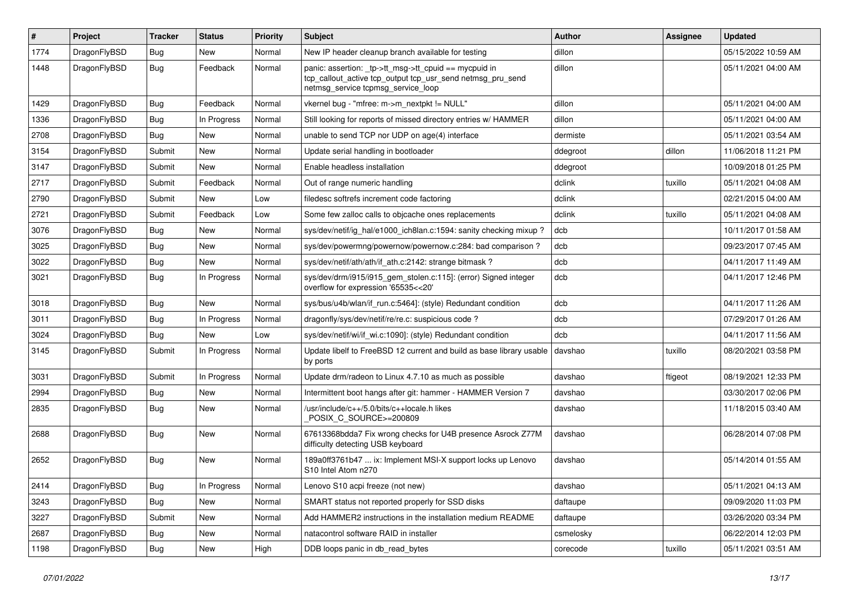| $\pmb{\#}$ | Project      | <b>Tracker</b> | <b>Status</b> | <b>Priority</b> | Subject                                                                                                                                                   | Author    | <b>Assignee</b> | <b>Updated</b>      |
|------------|--------------|----------------|---------------|-----------------|-----------------------------------------------------------------------------------------------------------------------------------------------------------|-----------|-----------------|---------------------|
| 1774       | DragonFlyBSD | Bug            | New           | Normal          | New IP header cleanup branch available for testing                                                                                                        | dillon    |                 | 05/15/2022 10:59 AM |
| 1448       | DragonFlyBSD | <b>Bug</b>     | Feedback      | Normal          | panic: assertion: _tp->tt_msg->tt_cpuid == mycpuid in<br>tcp_callout_active tcp_output tcp_usr_send netmsg_pru_send<br>netmsg_service tcpmsg_service_loop | dillon    |                 | 05/11/2021 04:00 AM |
| 1429       | DragonFlyBSD | <b>Bug</b>     | Feedback      | Normal          | vkernel bug - "mfree: m->m_nextpkt != NULL"                                                                                                               | dillon    |                 | 05/11/2021 04:00 AM |
| 1336       | DragonFlyBSD | Bug            | In Progress   | Normal          | Still looking for reports of missed directory entries w/ HAMMER                                                                                           | dillon    |                 | 05/11/2021 04:00 AM |
| 2708       | DragonFlyBSD | Bug            | New           | Normal          | unable to send TCP nor UDP on age(4) interface                                                                                                            | dermiste  |                 | 05/11/2021 03:54 AM |
| 3154       | DragonFlyBSD | Submit         | New           | Normal          | Update serial handling in bootloader                                                                                                                      | ddegroot  | dillon          | 11/06/2018 11:21 PM |
| 3147       | DragonFlyBSD | Submit         | New           | Normal          | Enable headless installation                                                                                                                              | ddegroot  |                 | 10/09/2018 01:25 PM |
| 2717       | DragonFlyBSD | Submit         | Feedback      | Normal          | Out of range numeric handling                                                                                                                             | dclink    | tuxillo         | 05/11/2021 04:08 AM |
| 2790       | DragonFlyBSD | Submit         | New           | Low             | filedesc softrefs increment code factoring                                                                                                                | dclink    |                 | 02/21/2015 04:00 AM |
| 2721       | DragonFlyBSD | Submit         | Feedback      | Low             | Some few zalloc calls to objcache ones replacements                                                                                                       | dclink    | tuxillo         | 05/11/2021 04:08 AM |
| 3076       | DragonFlyBSD | Bug            | New           | Normal          | sys/dev/netif/ig_hal/e1000_ich8lan.c:1594: sanity checking mixup?                                                                                         | dcb       |                 | 10/11/2017 01:58 AM |
| 3025       | DragonFlyBSD | Bug            | <b>New</b>    | Normal          | sys/dev/powermng/powernow/powernow.c:284: bad comparison?                                                                                                 | dcb       |                 | 09/23/2017 07:45 AM |
| 3022       | DragonFlyBSD | Bug            | New           | Normal          | sys/dev/netif/ath/ath/if_ath.c:2142: strange bitmask?                                                                                                     | dcb       |                 | 04/11/2017 11:49 AM |
| 3021       | DragonFlyBSD | Bug            | In Progress   | Normal          | sys/dev/drm/i915/i915_gem_stolen.c:115]: (error) Signed integer<br>overflow for expression '65535<<20'                                                    | dcb       |                 | 04/11/2017 12:46 PM |
| 3018       | DragonFlyBSD | Bug            | <b>New</b>    | Normal          | sys/bus/u4b/wlan/if_run.c:5464]: (style) Redundant condition                                                                                              | dcb       |                 | 04/11/2017 11:26 AM |
| 3011       | DragonFlyBSD | <b>Bug</b>     | In Progress   | Normal          | dragonfly/sys/dev/netif/re/re.c: suspicious code?                                                                                                         | dcb       |                 | 07/29/2017 01:26 AM |
| 3024       | DragonFlyBSD | Bug            | <b>New</b>    | Low             | sys/dev/netif/wi/if_wi.c:1090]: (style) Redundant condition                                                                                               | dcb       |                 | 04/11/2017 11:56 AM |
| 3145       | DragonFlyBSD | Submit         | In Progress   | Normal          | Update libelf to FreeBSD 12 current and build as base library usable<br>by ports                                                                          | davshao   | tuxillo         | 08/20/2021 03:58 PM |
| 3031       | DragonFlyBSD | Submit         | In Progress   | Normal          | Update drm/radeon to Linux 4.7.10 as much as possible                                                                                                     | davshao   | ftigeot         | 08/19/2021 12:33 PM |
| 2994       | DragonFlyBSD | Bug            | New           | Normal          | Intermittent boot hangs after git: hammer - HAMMER Version 7                                                                                              | davshao   |                 | 03/30/2017 02:06 PM |
| 2835       | DragonFlyBSD | Bug            | New           | Normal          | /usr/include/c++/5.0/bits/c++locale.h likes<br>POSIX C SOURCE>=200809                                                                                     | davshao   |                 | 11/18/2015 03:40 AM |
| 2688       | DragonFlyBSD | Bug            | New           | Normal          | 67613368bdda7 Fix wrong checks for U4B presence Asrock Z77M<br>difficulty detecting USB keyboard                                                          | davshao   |                 | 06/28/2014 07:08 PM |
| 2652       | DragonFlyBSD | Bug            | New           | Normal          | 189a0ff3761b47  ix: Implement MSI-X support locks up Lenovo<br>S10 Intel Atom n270                                                                        | davshao   |                 | 05/14/2014 01:55 AM |
| 2414       | DragonFlyBSD | Bug            | In Progress   | Normal          | Lenovo S10 acpi freeze (not new)                                                                                                                          | davshao   |                 | 05/11/2021 04:13 AM |
| 3243       | DragonFlyBSD | Bug            | New           | Normal          | SMART status not reported properly for SSD disks                                                                                                          | daftaupe  |                 | 09/09/2020 11:03 PM |
| 3227       | DragonFlyBSD | Submit         | New           | Normal          | Add HAMMER2 instructions in the installation medium README                                                                                                | daftaupe  |                 | 03/26/2020 03:34 PM |
| 2687       | DragonFlyBSD | Bug            | New           | Normal          | natacontrol software RAID in installer                                                                                                                    | csmelosky |                 | 06/22/2014 12:03 PM |
| 1198       | DragonFlyBSD | <b>Bug</b>     | New           | High            | DDB loops panic in db_read_bytes                                                                                                                          | corecode  | tuxillo         | 05/11/2021 03:51 AM |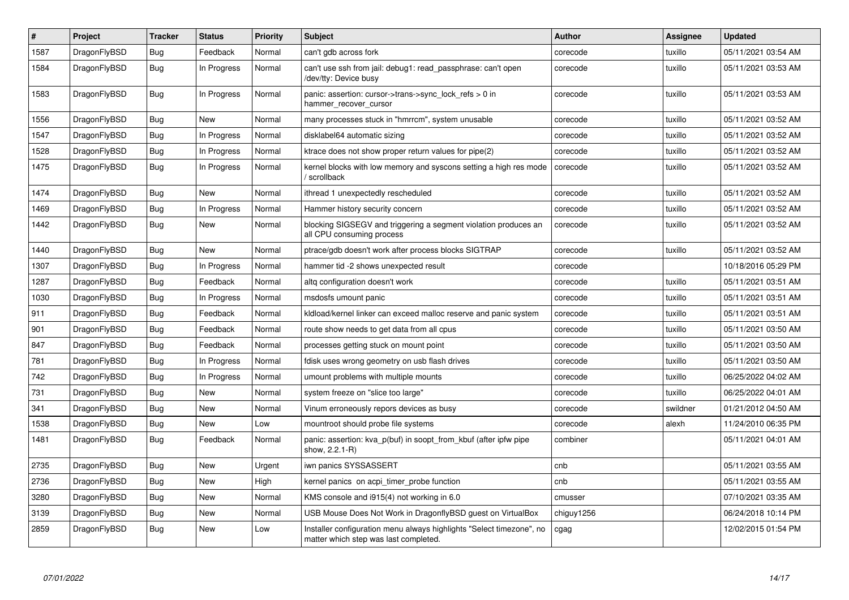| $\vert$ # | Project      | <b>Tracker</b> | <b>Status</b> | <b>Priority</b> | <b>Subject</b>                                                                                                | <b>Author</b> | Assignee | <b>Updated</b>      |
|-----------|--------------|----------------|---------------|-----------------|---------------------------------------------------------------------------------------------------------------|---------------|----------|---------------------|
| 1587      | DragonFlyBSD | Bug            | Feedback      | Normal          | can't gdb across fork                                                                                         | corecode      | tuxillo  | 05/11/2021 03:54 AM |
| 1584      | DragonFlyBSD | <b>Bug</b>     | In Progress   | Normal          | can't use ssh from jail: debug1: read_passphrase: can't open<br>/dev/tty: Device busy                         | corecode      | tuxillo  | 05/11/2021 03:53 AM |
| 1583      | DragonFlyBSD | <b>Bug</b>     | In Progress   | Normal          | panic: assertion: cursor->trans->sync_lock_refs > 0 in<br>hammer_recover_cursor                               | corecode      | tuxillo  | 05/11/2021 03:53 AM |
| 1556      | DragonFlyBSD | <b>Bug</b>     | New           | Normal          | many processes stuck in "hmrrcm", system unusable                                                             | corecode      | tuxillo  | 05/11/2021 03:52 AM |
| 1547      | DragonFlyBSD | Bug            | In Progress   | Normal          | disklabel64 automatic sizing                                                                                  | corecode      | tuxillo  | 05/11/2021 03:52 AM |
| 1528      | DragonFlyBSD | Bug            | In Progress   | Normal          | ktrace does not show proper return values for pipe(2)                                                         | corecode      | tuxillo  | 05/11/2021 03:52 AM |
| 1475      | DragonFlyBSD | <b>Bug</b>     | In Progress   | Normal          | kernel blocks with low memory and syscons setting a high res mode<br>' scrollback                             | corecode      | tuxillo  | 05/11/2021 03:52 AM |
| 1474      | DragonFlyBSD | Bug            | <b>New</b>    | Normal          | ithread 1 unexpectedly rescheduled                                                                            | corecode      | tuxillo  | 05/11/2021 03:52 AM |
| 1469      | DragonFlyBSD | <b>Bug</b>     | In Progress   | Normal          | Hammer history security concern                                                                               | corecode      | tuxillo  | 05/11/2021 03:52 AM |
| 1442      | DragonFlyBSD | Bug            | <b>New</b>    | Normal          | blocking SIGSEGV and triggering a segment violation produces an<br>all CPU consuming process                  | corecode      | tuxillo  | 05/11/2021 03:52 AM |
| 1440      | DragonFlyBSD | <b>Bug</b>     | <b>New</b>    | Normal          | ptrace/gdb doesn't work after process blocks SIGTRAP                                                          | corecode      | tuxillo  | 05/11/2021 03:52 AM |
| 1307      | DragonFlyBSD | <b>Bug</b>     | In Progress   | Normal          | hammer tid -2 shows unexpected result                                                                         | corecode      |          | 10/18/2016 05:29 PM |
| 1287      | DragonFlyBSD | <b>Bug</b>     | Feedback      | Normal          | altg configuration doesn't work                                                                               | corecode      | tuxillo  | 05/11/2021 03:51 AM |
| 1030      | DragonFlyBSD | Bug            | In Progress   | Normal          | msdosfs umount panic                                                                                          | corecode      | tuxillo  | 05/11/2021 03:51 AM |
| 911       | DragonFlyBSD | <b>Bug</b>     | Feedback      | Normal          | kldload/kernel linker can exceed malloc reserve and panic system                                              | corecode      | tuxillo  | 05/11/2021 03:51 AM |
| 901       | DragonFlyBSD | Bug            | Feedback      | Normal          | route show needs to get data from all cpus                                                                    | corecode      | tuxillo  | 05/11/2021 03:50 AM |
| 847       | DragonFlyBSD | Bug            | Feedback      | Normal          | processes getting stuck on mount point                                                                        | corecode      | tuxillo  | 05/11/2021 03:50 AM |
| 781       | DragonFlyBSD | Bug            | In Progress   | Normal          | fdisk uses wrong geometry on usb flash drives                                                                 | corecode      | tuxillo  | 05/11/2021 03:50 AM |
| 742       | DragonFlyBSD | Bug            | In Progress   | Normal          | umount problems with multiple mounts                                                                          | corecode      | tuxillo  | 06/25/2022 04:02 AM |
| 731       | DragonFlyBSD | <b>Bug</b>     | New           | Normal          | system freeze on "slice too large"                                                                            | corecode      | tuxillo  | 06/25/2022 04:01 AM |
| 341       | DragonFlyBSD | Bug            | <b>New</b>    | Normal          | Vinum erroneously repors devices as busy                                                                      | corecode      | swildner | 01/21/2012 04:50 AM |
| 1538      | DragonFlyBSD | <b>Bug</b>     | <b>New</b>    | Low             | mountroot should probe file systems                                                                           | corecode      | alexh    | 11/24/2010 06:35 PM |
| 1481      | DragonFlyBSD | Bug            | Feedback      | Normal          | panic: assertion: kva p(buf) in soopt from kbuf (after ipfw pipe<br>show, 2.2.1-R)                            | combiner      |          | 05/11/2021 04:01 AM |
| 2735      | DragonFlyBSD | <b>Bug</b>     | <b>New</b>    | Urgent          | iwn panics SYSSASSERT                                                                                         | cnb           |          | 05/11/2021 03:55 AM |
| 2736      | DragonFlyBSD | Bug            | <b>New</b>    | High            | kernel panics on acpi timer probe function                                                                    | cnb           |          | 05/11/2021 03:55 AM |
| 3280      | DragonFlyBSD | <b>Bug</b>     | <b>New</b>    | Normal          | KMS console and i915(4) not working in 6.0                                                                    | cmusser       |          | 07/10/2021 03:35 AM |
| 3139      | DragonFlyBSD | Bug            | New           | Normal          | USB Mouse Does Not Work in DragonflyBSD guest on VirtualBox                                                   | chiguy1256    |          | 06/24/2018 10:14 PM |
| 2859      | DragonFlyBSD | Bug            | <b>New</b>    | Low             | Installer configuration menu always highlights "Select timezone", no<br>matter which step was last completed. | cgag          |          | 12/02/2015 01:54 PM |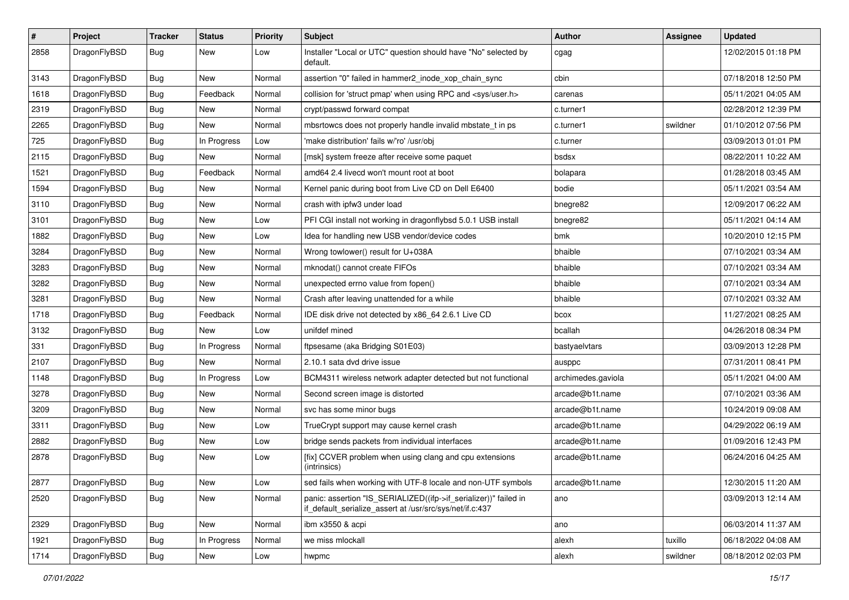| $\vert$ # | Project      | <b>Tracker</b> | <b>Status</b> | <b>Priority</b> | <b>Subject</b>                                                                                                               | Author             | Assignee | <b>Updated</b>      |
|-----------|--------------|----------------|---------------|-----------------|------------------------------------------------------------------------------------------------------------------------------|--------------------|----------|---------------------|
| 2858      | DragonFlyBSD | Bug            | New           | Low             | Installer "Local or UTC" question should have "No" selected by<br>default.                                                   | cgag               |          | 12/02/2015 01:18 PM |
| 3143      | DragonFlyBSD | <b>Bug</b>     | New           | Normal          | assertion "0" failed in hammer2 inode xop chain sync                                                                         | cbin               |          | 07/18/2018 12:50 PM |
| 1618      | DragonFlyBSD | Bug            | Feedback      | Normal          | collision for 'struct pmap' when using RPC and <sys user.h=""></sys>                                                         | carenas            |          | 05/11/2021 04:05 AM |
| 2319      | DragonFlyBSD | Bug            | <b>New</b>    | Normal          | crypt/passwd forward compat                                                                                                  | c.turner1          |          | 02/28/2012 12:39 PM |
| 2265      | DragonFlyBSD | <b>Bug</b>     | New           | Normal          | mbsrtowcs does not properly handle invalid mbstate t in ps                                                                   | c.turner1          | swildner | 01/10/2012 07:56 PM |
| 725       | DragonFlyBSD | Bug            | In Progress   | Low             | 'make distribution' fails w/'ro' /usr/obi                                                                                    | c.turner           |          | 03/09/2013 01:01 PM |
| 2115      | DragonFlyBSD | <b>Bug</b>     | New           | Normal          | [msk] system freeze after receive some paquet                                                                                | bsdsx              |          | 08/22/2011 10:22 AM |
| 1521      | DragonFlyBSD | Bug            | Feedback      | Normal          | amd64 2.4 livecd won't mount root at boot                                                                                    | bolapara           |          | 01/28/2018 03:45 AM |
| 1594      | DragonFlyBSD | <b>Bug</b>     | <b>New</b>    | Normal          | Kernel panic during boot from Live CD on Dell E6400                                                                          | bodie              |          | 05/11/2021 03:54 AM |
| 3110      | DragonFlyBSD | <b>Bug</b>     | New           | Normal          | crash with ipfw3 under load                                                                                                  | bnegre82           |          | 12/09/2017 06:22 AM |
| 3101      | DragonFlyBSD | Bug            | <b>New</b>    | Low             | PFI CGI install not working in dragonflybsd 5.0.1 USB install                                                                | bnegre82           |          | 05/11/2021 04:14 AM |
| 1882      | DragonFlyBSD | <b>Bug</b>     | New           | Low             | Idea for handling new USB vendor/device codes                                                                                | bmk                |          | 10/20/2010 12:15 PM |
| 3284      | DragonFlyBSD | Bug            | New           | Normal          | Wrong towlower() result for U+038A                                                                                           | bhaible            |          | 07/10/2021 03:34 AM |
| 3283      | DragonFlyBSD | Bug            | <b>New</b>    | Normal          | mknodat() cannot create FIFOs                                                                                                | bhaible            |          | 07/10/2021 03:34 AM |
| 3282      | DragonFlyBSD | <b>Bug</b>     | New           | Normal          | unexpected errno value from fopen()                                                                                          | bhaible            |          | 07/10/2021 03:34 AM |
| 3281      | DragonFlyBSD | Bug            | New           | Normal          | Crash after leaving unattended for a while                                                                                   | bhaible            |          | 07/10/2021 03:32 AM |
| 1718      | DragonFlyBSD | Bug            | Feedback      | Normal          | IDE disk drive not detected by x86_64 2.6.1 Live CD                                                                          | bcox               |          | 11/27/2021 08:25 AM |
| 3132      | DragonFlyBSD | <b>Bug</b>     | New           | Low             | unifdef mined                                                                                                                | bcallah            |          | 04/26/2018 08:34 PM |
| 331       | DragonFlyBSD | Bug            | In Progress   | Normal          | ftpsesame (aka Bridging S01E03)                                                                                              | bastyaelvtars      |          | 03/09/2013 12:28 PM |
| 2107      | DragonFlyBSD | Bug            | New           | Normal          | 2.10.1 sata dvd drive issue                                                                                                  | ausppc             |          | 07/31/2011 08:41 PM |
| 1148      | DragonFlyBSD | <b>Bug</b>     | In Progress   | Low             | BCM4311 wireless network adapter detected but not functional                                                                 | archimedes.gaviola |          | 05/11/2021 04:00 AM |
| 3278      | DragonFlyBSD | Bug            | <b>New</b>    | Normal          | Second screen image is distorted                                                                                             | arcade@b1t.name    |          | 07/10/2021 03:36 AM |
| 3209      | DragonFlyBSD | <b>Bug</b>     | New           | Normal          | svc has some minor bugs                                                                                                      | arcade@b1t.name    |          | 10/24/2019 09:08 AM |
| 3311      | DragonFlyBSD | Bug            | <b>New</b>    | Low             | TrueCrypt support may cause kernel crash                                                                                     | arcade@b1t.name    |          | 04/29/2022 06:19 AM |
| 2882      | DragonFlyBSD | Bug            | New           | Low             | bridge sends packets from individual interfaces                                                                              | arcade@b1t.name    |          | 01/09/2016 12:43 PM |
| 2878      | DragonFlyBSD | Bug            | New           | Low             | [fix] CCVER problem when using clang and cpu extensions<br>(intrinsics)                                                      | arcade@b1t.name    |          | 06/24/2016 04:25 AM |
| 2877      | DragonFlyBSD | Bug            | New           | Low             | sed fails when working with UTF-8 locale and non-UTF symbols                                                                 | arcade@b1t.name    |          | 12/30/2015 11:20 AM |
| 2520      | DragonFlyBSD | <b>Bug</b>     | New           | Normal          | panic: assertion "IS_SERIALIZED((ifp->if_serializer))" failed in<br>if_default_serialize_assert at /usr/src/sys/net/if.c:437 | ano                |          | 03/09/2013 12:14 AM |
| 2329      | DragonFlyBSD | <b>Bug</b>     | New           | Normal          | ibm x3550 & acpi                                                                                                             | ano                |          | 06/03/2014 11:37 AM |
| 1921      | DragonFlyBSD | Bug            | In Progress   | Normal          | we miss mlockall                                                                                                             | alexh              | tuxillo  | 06/18/2022 04:08 AM |
| 1714      | DragonFlyBSD | Bug            | New           | Low             | hwpmc                                                                                                                        | alexh              | swildner | 08/18/2012 02:03 PM |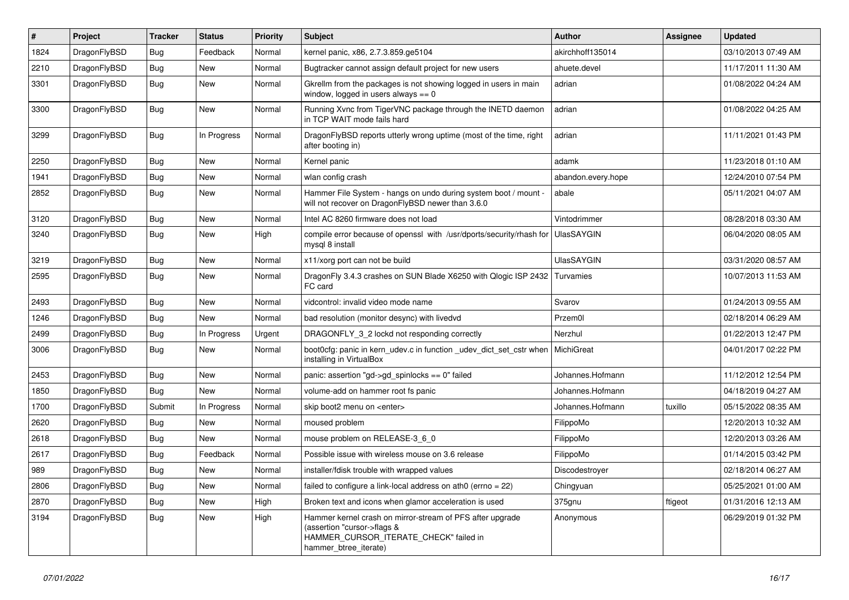| $\sharp$ | Project      | <b>Tracker</b> | <b>Status</b> | <b>Priority</b> | <b>Subject</b>                                                                                                                                              | <b>Author</b>      | Assignee | <b>Updated</b>      |
|----------|--------------|----------------|---------------|-----------------|-------------------------------------------------------------------------------------------------------------------------------------------------------------|--------------------|----------|---------------------|
| 1824     | DragonFlyBSD | Bug            | Feedback      | Normal          | kernel panic, x86, 2.7.3.859.ge5104                                                                                                                         | akirchhoff135014   |          | 03/10/2013 07:49 AM |
| 2210     | DragonFlyBSD | Bug            | <b>New</b>    | Normal          | Bugtracker cannot assign default project for new users                                                                                                      | ahuete.devel       |          | 11/17/2011 11:30 AM |
| 3301     | DragonFlyBSD | Bug            | <b>New</b>    | Normal          | Gkrellm from the packages is not showing logged in users in main<br>window, logged in users always $== 0$                                                   | adrian             |          | 01/08/2022 04:24 AM |
| 3300     | DragonFlyBSD | <b>Bug</b>     | <b>New</b>    | Normal          | Running Xvnc from TigerVNC package through the INETD daemon<br>in TCP WAIT mode fails hard                                                                  | adrian             |          | 01/08/2022 04:25 AM |
| 3299     | DragonFlyBSD | <b>Bug</b>     | In Progress   | Normal          | DragonFlyBSD reports utterly wrong uptime (most of the time, right<br>after booting in)                                                                     | adrian             |          | 11/11/2021 01:43 PM |
| 2250     | DragonFlyBSD | Bug            | <b>New</b>    | Normal          | Kernel panic                                                                                                                                                | adamk              |          | 11/23/2018 01:10 AM |
| 1941     | DragonFlyBSD | Bug            | New           | Normal          | wlan config crash                                                                                                                                           | abandon.every.hope |          | 12/24/2010 07:54 PM |
| 2852     | DragonFlyBSD | Bug            | <b>New</b>    | Normal          | Hammer File System - hangs on undo during system boot / mount -<br>will not recover on DragonFlyBSD newer than 3.6.0                                        | abale              |          | 05/11/2021 04:07 AM |
| 3120     | DragonFlyBSD | <b>Bug</b>     | <b>New</b>    | Normal          | Intel AC 8260 firmware does not load                                                                                                                        | Vintodrimmer       |          | 08/28/2018 03:30 AM |
| 3240     | DragonFlyBSD | <b>Bug</b>     | <b>New</b>    | High            | compile error because of openssl with /usr/dports/security/rhash for<br>mysql 8 install                                                                     | <b>UlasSAYGIN</b>  |          | 06/04/2020 08:05 AM |
| 3219     | DragonFlyBSD | Bug            | <b>New</b>    | Normal          | x11/xorg port can not be build                                                                                                                              | <b>UlasSAYGIN</b>  |          | 03/31/2020 08:57 AM |
| 2595     | DragonFlyBSD | Bug            | <b>New</b>    | Normal          | DragonFly 3.4.3 crashes on SUN Blade X6250 with Qlogic ISP 2432<br>FC card                                                                                  | Turvamies          |          | 10/07/2013 11:53 AM |
| 2493     | DragonFlyBSD | Bug            | <b>New</b>    | Normal          | vidcontrol: invalid video mode name                                                                                                                         | Svarov             |          | 01/24/2013 09:55 AM |
| 1246     | DragonFlyBSD | Bug            | <b>New</b>    | Normal          | bad resolution (monitor desync) with livedvd                                                                                                                | Przem0l            |          | 02/18/2014 06:29 AM |
| 2499     | DragonFlyBSD | <b>Bug</b>     | In Progress   | Urgent          | DRAGONFLY 3 2 lockd not responding correctly                                                                                                                | Nerzhul            |          | 01/22/2013 12:47 PM |
| 3006     | DragonFlyBSD | Bug            | <b>New</b>    | Normal          | boot Ocfg: panic in kern udev.c in function udev dict set cstr when<br>installing in VirtualBox                                                             | MichiGreat         |          | 04/01/2017 02:22 PM |
| 2453     | DragonFlyBSD | <b>Bug</b>     | <b>New</b>    | Normal          | panic: assertion "gd->gd_spinlocks == 0" failed                                                                                                             | Johannes.Hofmann   |          | 11/12/2012 12:54 PM |
| 1850     | DragonFlyBSD | Bug            | <b>New</b>    | Normal          | volume-add on hammer root fs panic                                                                                                                          | Johannes.Hofmann   |          | 04/18/2019 04:27 AM |
| 1700     | DragonFlyBSD | Submit         | In Progress   | Normal          | skip boot2 menu on <enter></enter>                                                                                                                          | Johannes.Hofmann   | tuxillo  | 05/15/2022 08:35 AM |
| 2620     | DragonFlyBSD | Bug            | <b>New</b>    | Normal          | moused problem                                                                                                                                              | FilippoMo          |          | 12/20/2013 10:32 AM |
| 2618     | DragonFlyBSD | Bug            | <b>New</b>    | Normal          | mouse problem on RELEASE-3 6 0                                                                                                                              | FilippoMo          |          | 12/20/2013 03:26 AM |
| 2617     | DragonFlyBSD | <b>Bug</b>     | Feedback      | Normal          | Possible issue with wireless mouse on 3.6 release                                                                                                           | FilippoMo          |          | 01/14/2015 03:42 PM |
| 989      | DragonFlyBSD | <b>Bug</b>     | <b>New</b>    | Normal          | installer/fdisk trouble with wrapped values                                                                                                                 | Discodestroyer     |          | 02/18/2014 06:27 AM |
| 2806     | DragonFlyBSD | Bug            | <b>New</b>    | Normal          | failed to configure a link-local address on ath0 (errno = 22)                                                                                               | Chingyuan          |          | 05/25/2021 01:00 AM |
| 2870     | DragonFlyBSD | <b>Bug</b>     | <b>New</b>    | High            | Broken text and icons when glamor acceleration is used                                                                                                      | 375gnu             | ftigeot  | 01/31/2016 12:13 AM |
| 3194     | DragonFlyBSD | Bug            | <b>New</b>    | High            | Hammer kernel crash on mirror-stream of PFS after upgrade<br>(assertion "cursor->flags &<br>HAMMER_CURSOR_ITERATE_CHECK" failed in<br>hammer btree iterate) | Anonymous          |          | 06/29/2019 01:32 PM |